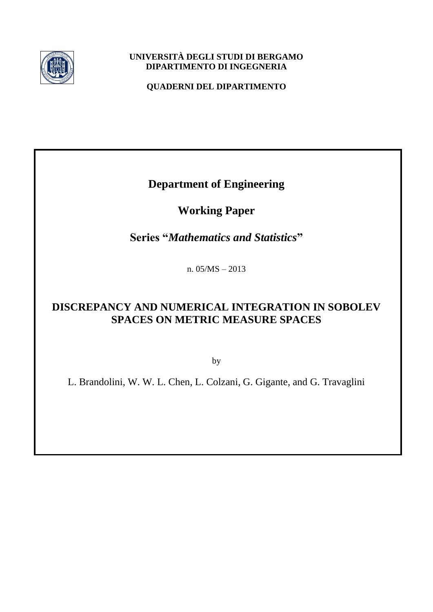

### **UNIVERSITÀ DEGLI STUDI DI BERGAMO DIPARTIMENTO DI INGEGNERIA**

**QUADERNI DEL DIPARTIMENTO**

**Department of Engineering**

**Working Paper**

**Series "***Mathematics and Statistics***"** 

n. 05/MS – 2013

# **DISCREPANCY AND NUMERICAL INTEGRATION IN SOBOLEV SPACES ON METRIC MEASURE SPACES**

by

L. Brandolini, W. W. L. Chen, L. Colzani, G. Gigante, and G. Travaglini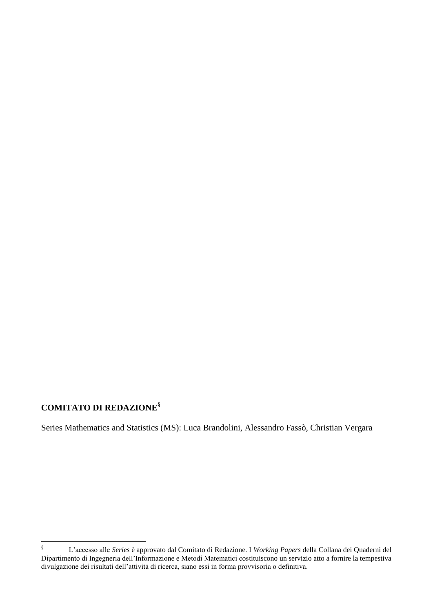# **COMITATO DI REDAZIONE§**

Series Mathematics and Statistics (MS): Luca Brandolini, Alessandro Fassò, Christian Vergara

 $\S$ § L'accesso alle *Series* è approvato dal Comitato di Redazione. I *Working Papers* della Collana dei Quaderni del Dipartimento di Ingegneria dell'Informazione e Metodi Matematici costituiscono un servizio atto a fornire la tempestiva divulgazione dei risultati dell'attività di ricerca, siano essi in forma provvisoria o definitiva.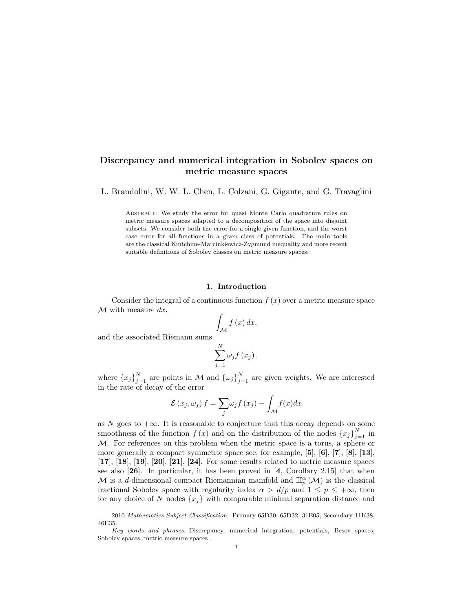### Discrepancy and numerical integration in Sobolev spaces on metric measure spaces

L. Brandolini, W. W. L. Chen, L. Colzani, G. Gigante, and G. Travaglini

Abstract. We study the error for quasi Monte Carlo quadrature rules on metric measure spaces adapted to a decomposition of the space into disjoint subsets. We consider both the error for a single given function, and the worst case error for all functions in a given class of potentials. The main tools are the classical Kintchine-Marcinkiewicz-Zygmund inequality and more recent suitable definitions of Sobolev classes on metric measure spaces.

#### 1. Introduction

Consider the integral of a continuous function  $f(x)$  over a metric measure space  $M$  with measure  $dx$ ,

$$
\int_{\mathcal{M}} f\left(x\right) dx,
$$

and the associated Riemann sums

$$
\sum_{j=1}^{N} \omega_j f(x_j) \,,
$$

where  $\{x_j\}_{j=1}^N$  are points in M and  $\{\omega_j\}_{j=1}^N$  are given weights. We are interested in the rate of decay of the error

$$
\mathcal{E}(x_j,\omega_j) f = \sum_j \omega_j f(x_j) - \int_{\mathcal{M}} f(x) dx
$$

as N goes to  $+\infty$ . It is reasonable to conjecture that this decay depends on some smoothness of the function  $f(x)$  and on the distribution of the nodes  $\{x_j\}_{j=1}^N$  in M. For references on this problem when the metric space is a torus, a sphere or more generally a compact symmetric space see, for example,  $[5]$ ,  $[6]$ ,  $[7]$ ,  $[8]$ ,  $[13]$ ,  $[17]$ ,  $[18]$ ,  $[19]$ ,  $[20]$ ,  $[21]$ ,  $[24]$ . For some results related to metric measure spaces see also  $[26]$ . In particular, it has been proved in  $[4,$  Corollary 2.15 that when M is a d-dimensional compact Riemannian manifold and  $\mathbb{H}_p^{\alpha}(M)$  is the classical fractional Sobolev space with regularity index  $\alpha > d/p$  and  $1 \leq p \leq +\infty$ , then for any choice of N nodes  $\{x_i\}$  with comparable minimal separation distance and

<sup>2010</sup> Mathematics Subject Classification. Primary 65D30, 65D32, 31E05; Secondary 11K38, 46E35.

Key words and phrases. Discrepancy, numerical integration, potentials, Besov spaces, Sobolev spaces, metric measure spaces .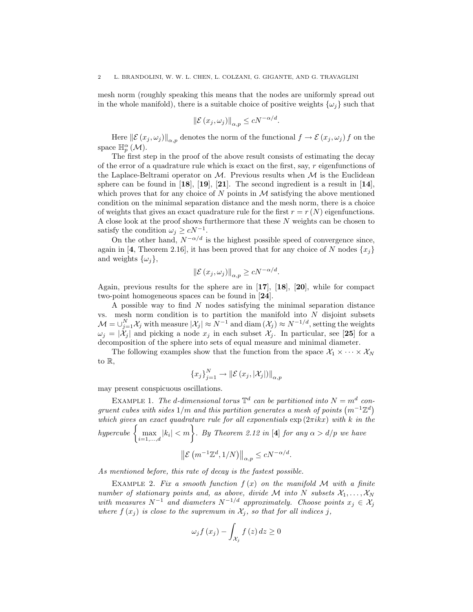mesh norm (roughly speaking this means that the nodes are uniformly spread out in the whole manifold), there is a suitable choice of positive weights  $\{\omega_i\}$  such that

$$
\left\|\mathcal{E}\left(x_j,\omega_j\right)\right\|_{\alpha,p} \le cN^{-\alpha/d}
$$

.

Here  $\left\|\mathcal{E}(x_j,\omega_j)\right\|_{\alpha,p}$  denotes the norm of the functional  $f \to \mathcal{E}(x_j,\omega_j) f$  on the space  $\mathbb{H}_p^{\alpha}(\mathcal{M})$ .

The first step in the proof of the above result consists of estimating the decay of the error of a quadrature rule which is exact on the first, say, r eigenfunctions of the Laplace-Beltrami operator on  $\mathcal M$ . Previous results when  $\mathcal M$  is the Euclidean sphere can be found in  $[18]$ ,  $[19]$ ,  $[21]$ . The second ingredient is a result in  $[14]$ , which proves that for any choice of N points in  $\mathcal M$  satisfying the above mentioned condition on the minimal separation distance and the mesh norm, there is a choice of weights that gives an exact quadrature rule for the first  $r = r(N)$  eigenfunctions. A close look at the proof shows furthermore that these N weights can be chosen to satisfy the condition  $\omega_j \ge cN^{-1}$ .

On the other hand,  $N^{-\alpha/d}$  is the highest possible speed of convergence since, again in [4, Theorem 2.16], it has been proved that for any choice of N nodes  $\{x_i\}$ and weights  $\{\omega_i\},\$ 

$$
\left\|\mathcal{E}\left(x_j,\omega_j\right)\right\|_{\alpha,p} \ge cN^{-\alpha/d}.
$$

Again, previous results for the sphere are in [17], [18], [20], while for compact two-point homogeneous spaces can be found in [24].

A possible way to find N nodes satisfying the minimal separation distance vs. mesh norm condition is to partition the manifold into  $N$  disjoint subsets  $\mathcal{M} = \bigcup_{j=1}^N \mathcal{X}_j$  with measure  $|\mathcal{X}_j| \approx N^{-1}$  and  $\text{diam}(\mathcal{X}_j) \approx N^{-1/d}$ , setting the weights  $\omega_i = |\mathcal{X}_i|$  and picking a node  $x_i$  in each subset  $\mathcal{X}_i$ . In particular, see [25] for a decomposition of the sphere into sets of equal measure and minimal diameter.

The following examples show that the function from the space  $\mathcal{X}_1 \times \cdots \times \mathcal{X}_N$ to R,

$$
\{x_j\}_{j=1}^N \to \|\mathcal{E}(x_j, |\mathcal{X}_j|)\|_{\alpha,p}
$$

may present conspicuous oscillations.

EXAMPLE 1. The d-dimensional torus  $\mathbb{T}^d$  can be partitioned into  $N = m^d$  congruent cubes with sides  $1/m$  and this partition generates a mesh of points  $(m^{-1}\mathbb{Z}^d)$ which gives an exact quadrature rule for all exponentials  $\exp(2\pi i kx)$  with k in the hypercube  $\left\{\max_{i=1,...,d}|k_i| < m\right\}$ . By Theorem 2.12 in [4] for any  $\alpha > d/p$  we have

$$
\left\| \mathcal{E} \left( m^{-1} \mathbb{Z}^d, 1/N \right) \right\|_{\alpha, p} \le c N^{-\alpha/d}.
$$

As mentioned before, this rate of decay is the fastest possible.

EXAMPLE 2. Fix a smooth function  $f(x)$  on the manifold M with a finite number of stationary points and, as above, divide M into N subsets  $\mathcal{X}_1, \ldots, \mathcal{X}_N$ with measures  $N^{-1}$  and diameters  $N^{-1/d}$  approximately. Choose points  $x_i \in \mathcal{X}_i$ where  $f(x_j)$  is close to the supremum in  $\mathcal{X}_j$ , so that for all indices j,

$$
\omega_{j} f(x_{j}) - \int_{\mathcal{X}_{j}} f(z) dz \ge 0
$$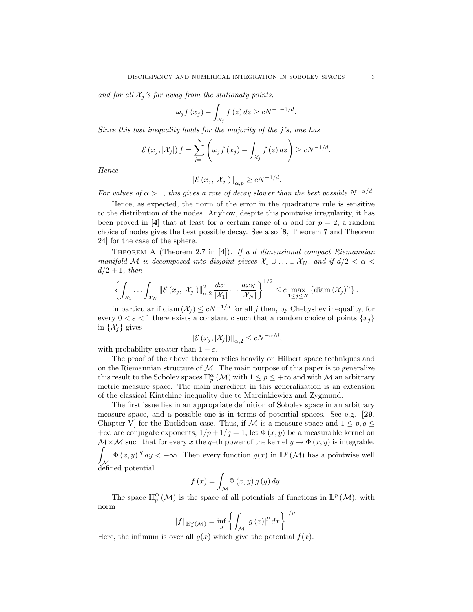and for all  $\mathcal{X}_i$ 's far away from the stationaty points,

$$
\omega_j f(x_j) - \int_{\mathcal{X}_j} f(z) dz \ge cN^{-1-1/d}.
$$

Since this last inequality holds for the majority of the j's, one has

$$
\mathcal{E}(x_j,|\mathcal{X}_j|) f = \sum_{j=1}^N \left( \omega_j f(x_j) - \int_{\mathcal{X}_j} f(z) dz \right) \ge cN^{-1/d}.
$$

Hence

$$
\left\|\mathcal{E}\left(x_j, |\mathcal{X}_j|\right)\right\|_{\alpha,p} \ge cN^{-1/d}.
$$

For values of  $\alpha > 1$ , this gives a rate of decay slower than the best possible  $N^{-\alpha/d}$ .

Hence, as expected, the norm of the error in the quadrature rule is sensitive to the distribution of the nodes. Anyhow, despite this pointwise irregularity, it has been proved in [4] that at least for a certain range of  $\alpha$  and for  $p = 2$ , a random choice of nodes gives the best possible decay. See also [8, Theorem 7 and Theorem 24] for the case of the sphere.

THEOREM A (Theorem 2.7 in  $[4]$ ). If a d dimensional compact Riemannian manifold M is decomposed into disjoint pieces  $\mathcal{X}_1 \cup \ldots \cup \mathcal{X}_N$ , and if  $d/2 < \alpha <$  $d/2+1$ , then

$$
\left\{\int_{\mathcal{X}_1}\cdots\int_{\mathcal{X}_N}\|\mathcal{E}(x_j,|\mathcal{X}_j|)\|_{\alpha,2}^2\,\frac{dx_1}{|\mathcal{X}_1|}\cdots\frac{dx_N}{|\mathcal{X}_N|}\right\}^{1/2}\leq c\max_{1\leq j\leq N}\left\{\mathrm{diam}\left(\mathcal{X}_j\right)^\alpha\right\}.
$$

In particular if diam  $(\mathcal{X}_i) \le cN^{-1/d}$  for all j then, by Chebyshev inequality, for every  $0 < \varepsilon < 1$  there exists a constant c such that a random choice of points  $\{x_i\}$ in  $\{\mathcal{X}_j\}$  gives

$$
\|\mathcal{E}(x_j, |\mathcal{X}_j|)\|_{\alpha,2} \le cN^{-\alpha/d},
$$

with probability greater than  $1 - \varepsilon$ .

The proof of the above theorem relies heavily on Hilbert space techniques and on the Riemannian structure of  $M$ . The main purpose of this paper is to generalize this result to the Sobolev spaces  $\mathbb{H}_p^{\alpha}(\mathcal{M})$  with  $1 \leq p \leq +\infty$  and with  $\mathcal M$  an arbitrary metric measure space. The main ingredient in this generalization is an extension of the classical Kintchine inequality due to Marcinkiewicz and Zygmund.

The first issue lies in an appropriate definition of Sobolev space in an arbitrary measure space, and a possible one is in terms of potential spaces. See e.g. [29, Chapter V] for the Euclidean case. Thus, if M is a measure space and  $1 \leq p, q \leq \ell$ +∞ are conjugate exponents,  $1/p + 1/q = 1$ , let  $\Phi(x, y)$  be a measurable kernel on  $\mathcal{M} \times \mathcal{M}$  such that for every x the q-th power of the kernel  $y \to \Phi(x, y)$  is integrable, Z  $\mathcal{M}_{\mathcal{A}}$  $|\Phi(x, y)|^q dy < +\infty$ . Then every function  $g(x)$  in  $\mathbb{L}^p(\mathcal{M})$  has a pointwise well defined potential

$$
f(x) = \int_{\mathcal{M}} \Phi(x, y) g(y) dy.
$$

The space  $\mathbb{H}_p^{\Phi}(\mathcal{M})$  is the space of all potentials of functions in  $\mathbb{L}^p(\mathcal{M})$ , with norm

$$
||f||_{\mathbb{H}_{p}^{\Phi}(\mathcal{M})} = \inf_{g} \left\{ \int_{\mathcal{M}} |g(x)|^{p} dx \right\}^{1/p}.
$$

Here, the infimum is over all  $q(x)$  which give the potential  $f(x)$ .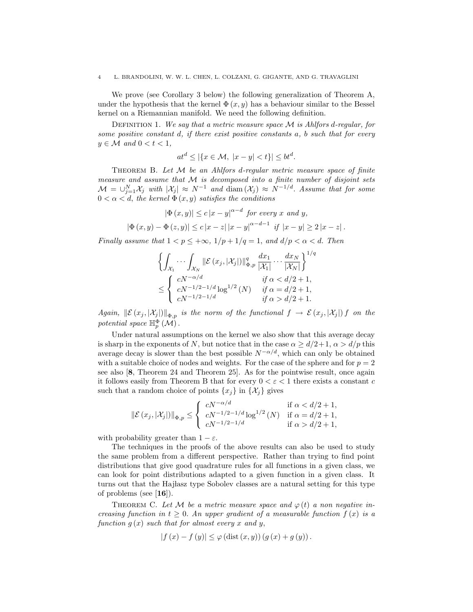We prove (see Corollary 3 below) the following generalization of Theorem A, under the hypothesis that the kernel  $\Phi(x, y)$  has a behaviour similar to the Bessel kernel on a Riemannian manifold. We need the following definition.

DEFINITION 1. We say that a metric measure space  $M$  is Ahlfors d-regular, for some positive constant d, if there exist positive constants a, b such that for every  $y \in \mathcal{M}$  and  $0 < t < 1$ ,

$$
at^d \le |\{x \in \mathcal{M}, \ |x - y| < t\}| \le bt^d.
$$

THEOREM B. Let  $M$  be an Ahlfors d-regular metric measure space of finite measure and assume that M is decomposed into a finite number of disjoint sets  $\mathcal{M} = \bigcup_{j=1}^N \mathcal{X}_j$  with  $|\mathcal{X}_j| \approx N^{-1}$  and  $\text{diam}(\mathcal{X}_j) \approx N^{-1/d}$ . Assume that for some  $0 < \alpha < d$ , the kernel  $\Phi(x, y)$  satisfies the conditions

$$
|\Phi(x, y)| \le c |x - y|^{\alpha - d} \text{ for every } x \text{ and } y,
$$
  

$$
|\Phi(x, y) - \Phi(z, y)| \le c |x - z| |x - y|^{\alpha - d - 1} \text{ if } |x - y| \ge 2 |x - z|.
$$

Finally assume that  $1 < p \leq +\infty$ ,  $1/p + 1/q = 1$ , and  $d/p < \alpha < d$ . Then

$$
\left\{ \int_{\mathcal{X}_1} \cdots \int_{\mathcal{X}_N} \|\mathcal{E}(x_j, |\mathcal{X}_j|) \|_{\Phi, p}^q \frac{dx_1}{|\mathcal{X}_1|} \cdots \frac{dx_N}{|\mathcal{X}_N|} \right\}^{1/q}
$$
  

$$
\leq \begin{cases} cN^{-\alpha/d} & \text{if } \alpha < d/2 + 1, \\ cN^{-1/2 - 1/d} \log^{1/2}(N) & \text{if } \alpha = d/2 + 1, \\ cN^{-1/2 - 1/d} & \text{if } \alpha > d/2 + 1. \end{cases}
$$

Again,  $\|\mathcal{E}(x_j,|\mathcal{X}_j|)\|_{\Phi,p}$  is the norm of the functional  $f \to \mathcal{E}(x_j,|\mathcal{X}_j|) f$  on the potential space  $\mathbb{H}_p^{\Phi}(\mathcal{M})$ .

Under natural assumptions on the kernel we also show that this average decay is sharp in the exponents of N, but notice that in the case  $\alpha \geq d/2+1$ ,  $\alpha > d/p$  this average decay is slower than the best possible  $N^{-\alpha/d}$ , which can only be obtained with a suitable choice of nodes and weights. For the case of the sphere and for  $p = 2$ see also [8, Theorem 24 and Theorem 25]. As for the pointwise result, once again it follows easily from Theorem B that for every  $0 < \varepsilon < 1$  there exists a constant c such that a random choice of points  $\{x_i\}$  in  $\{\mathcal{X}_i\}$  gives

$$
\|\mathcal{E}(x_j, |\mathcal{X}_j|)\|_{\Phi, p} \le \begin{cases} cN^{-\alpha/d} & \text{if } \alpha < d/2 + 1, \\ cN^{-1/2 - 1/d} \log^{1/2}(N) & \text{if } \alpha = d/2 + 1, \\ cN^{-1/2 - 1/d} & \text{if } \alpha > d/2 + 1, \end{cases}
$$

with probability greater than  $1 - \varepsilon$ .

The techniques in the proofs of the above results can also be used to study the same problem from a different perspective. Rather than trying to find point distributions that give good quadrature rules for all functions in a given class, we can look for point distributions adapted to a given function in a given class. It turns out that the Hajlasz type Sobolev classes are a natural setting for this type of problems (see  $[16]$ ).

THEOREM C. Let M be a metric measure space and  $\varphi(t)$  a non negative increasing function in  $t \geq 0$ . An upper gradient of a measurable function  $f(x)$  is a function  $g(x)$  such that for almost every x and y,

$$
|f(x) - f(y)| \le \varphi(\text{dist}(x, y))(g(x) + g(y)).
$$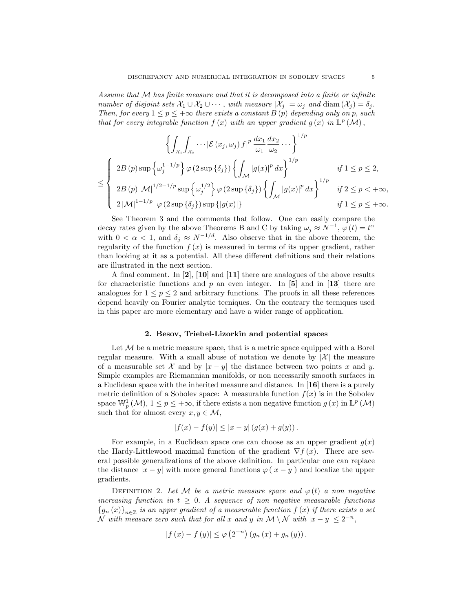Assume that  $M$  has finite measure and that it is decomposed into a finite or infinite number of disjoint sets  $\mathcal{X}_1 \cup \mathcal{X}_2 \cup \cdots$ , with measure  $|\mathcal{X}_j| = \omega_j$  and  $\text{diam}(\mathcal{X}_j) = \delta_j$ . Then, for every  $1 \leq p \leq +\infty$  there exists a constant B(p) depending only on p, such that for every integrable function  $f(x)$  with an upper gradient  $g(x)$  in  $\mathbb{L}^p(\mathcal{M})$ ,

$$
\left\{ \int_{\mathcal{X}_1} \int_{\mathcal{X}_2} \cdots |\mathcal{E}(x_j, \omega_j) f|^p \frac{dx_1}{\omega_1} \frac{dx_2}{\omega_2} \cdots \right\}^{1/p}
$$
  

$$
\leq \left\{ \begin{array}{ll} 2B(p) \sup \left\{ \omega_j^{1-1/p} \right\} \varphi(2 \sup \left\{ \delta_j \right\}) \left\{ \int_{\mathcal{M}} |g(x)|^p dx \right\}^{1/p} & \text{if } 1 \leq p \leq 2, \\ 2B(p) |\mathcal{M}|^{1/2-1/p} \sup \left\{ \omega_j^{1/2} \right\} \varphi(2 \sup \left\{ \delta_j \right\}) \left\{ \int_{\mathcal{M}} |g(x)|^p dx \right\}^{1/p} & \text{if } 2 \leq p < +\infty, \\ 2|\mathcal{M}|^{1-1/p} \varphi(2 \sup \left\{ \delta_j \right\}) \sup \left\{ |g(x)| \right\} & \text{if } 1 \leq p \leq +\infty. \end{array} \right.
$$

See Theorem 3 and the comments that follow. One can easily compare the decay rates given by the above Theorems B and C by taking  $\omega_j \approx N^{-1}$ ,  $\varphi(t) = t^{\alpha}$ with  $0 < \alpha < 1$ , and  $\delta_i \approx N^{-1/d}$ . Also observe that in the above theorem, the regularity of the function  $f(x)$  is measured in terms of its upper gradient, rather than looking at it as a potential. All these different definitions and their relations are illustrated in the next section.

A final comment. In  $\mathbf{2}$ ,  $\mathbf{10}$  and  $\mathbf{11}$  there are analogues of the above results for characteristic functions and p an even integer. In [5] and in [13] there are analogues for  $1 \leq p \leq 2$  and arbitrary functions. The proofs in all these references depend heavily on Fourier analytic tecniques. On the contrary the tecniques used in this paper are more elementary and have a wider range of application.

#### 2. Besov, Triebel-Lizorkin and potential spaces

Let  $M$  be a metric measure space, that is a metric space equipped with a Borel regular measure. With a small abuse of notation we denote by  $|\mathcal{X}|$  the measure of a measurable set X and by  $|x-y|$  the distance between two points x and y. Simple examples are Riemannian manifolds, or non necessarily smooth surfaces in a Euclidean space with the inherited measure and distance. In [16] there is a purely metric definition of a Sobolev space: A measurable function  $f(x)$  is in the Sobolev space  $\mathbb{W}_p^1(\mathcal{M}), 1 \leq p \leq +\infty$ , if there exists a non negative function  $g(x)$  in  $\mathbb{L}^p(\mathcal{M})$ such that for almost every  $x, y \in \mathcal{M}$ ,

$$
|f(x) - f(y)| \le |x - y| (g(x) + g(y)).
$$

For example, in a Euclidean space one can choose as an upper gradient  $g(x)$ the Hardy-Littlewood maximal function of the gradient  $\nabla f(x)$ . There are several possible generalizations of the above definition. In particular one can replace the distance  $|x - y|$  with more general functions  $\varphi(|x - y|)$  and localize the upper gradients.

DEFINITION 2. Let M be a metric measure space and  $\varphi(t)$  a non-negative increasing function in  $t \geq 0$ . A sequence of non negative measurable functions  $\left\{g_{n}\left(x\right)\right\}_{n\in\mathbb{Z}}$  is an upper gradient of a measurable function  $f\left(x\right)$  if there exists a set  $\mathcal N$  with measure zero such that for all x and y in  $\mathcal M \setminus \mathcal N$  with  $|x-y| \leq 2^{-n}$ ,

$$
|f(x) - f(y)| \le \varphi(2^{-n}) (g_n(x) + g_n(y)).
$$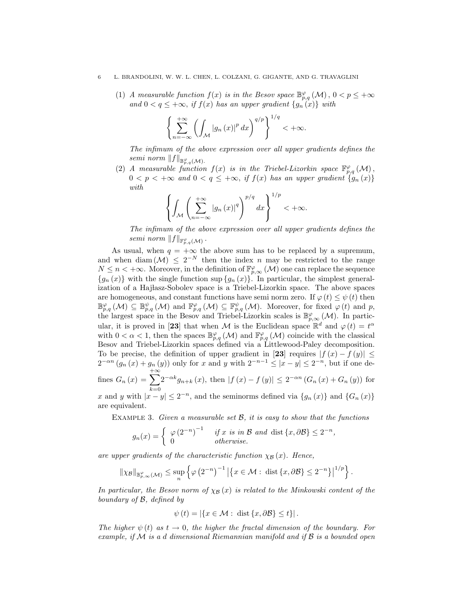(1) A measurable function  $f(x)$  is in the Besov space  $\mathbb{B}^{\varphi}_{p,q}(\mathcal{M}), 0 < p \leq +\infty$ and  $0 < q \leq +\infty$ , if  $f(x)$  has an upper gradient  $\{g_n(x)\}\$  with

$$
\left\{\sum_{n=-\infty}^{+\infty}\left(\int_{\mathcal{M}}\left|g_{n}\left(x\right)\right|^{p}dx\right)^{q/p}\right\}^{1/q}<+\infty.
$$

The infimum of the above expression over all upper gradients defines the semi norm  $||f||_{\mathbb{B}^{\varphi}_{p,q}(\mathcal{M})}$ .

(2) A measurable function  $f(x)$  is in the Triebel-Lizorkin space  $\mathbb{F}_{p,q}^{\varphi}(\mathcal{M})$ ,  $0 < p < +\infty$  and  $0 < q \leq +\infty$ , if  $f(x)$  has an upper gradient  $\{g_n(x)\}$ with

$$
\left\{\int_{\mathcal{M}}\left(\sum_{n=-\infty}^{+\infty}\left|g_{n}\left(x\right)\right|^{q}\right)^{p/q}dx\right\}^{1/p}<+\infty.
$$

The infimum of the above expression over all upper gradients defines the semi norm  $||f||_{\mathbb{F}_{p,q}^{\varphi}(\mathcal{M})}$ .

As usual, when  $q = +\infty$  the above sum has to be replaced by a supremum, and when diam  $(M) \leq 2^{-N}$  then the index n may be restricted to the range  $N \leq n < +\infty$ . Moreover, in the definition of  $\mathbb{F}_{p,\infty}^{\varphi}(\mathcal{M})$  one can replace the sequence  ${g_n (x)}$  with the single function sup  ${g_n (x)}$ . In particular, the simplest generalization of a Hajlasz-Sobolev space is a Triebel-Lizorkin space. The above spaces are homogeneous, and constant functions have semi norm zero. If  $\varphi(t) \leq \psi(t)$  then  $\mathbb{B}^{\varphi}_{p,q}(\mathcal{M}) \subseteq \mathbb{B}^{\psi}_{p,q}(\mathcal{M})$  and  $\mathbb{F}^{\varphi}_{p,q}(\mathcal{M}) \subseteq \mathbb{F}^{\psi}_{p,q}(\mathcal{M})$ . Moreover, for fixed  $\varphi(t)$  and p, the largest space in the Besov and Triebel-Lizorkin scales is  $\mathbb{B}^{\varphi}_{p,\infty}(\mathcal{M})$ . In particular, it is proved in [23] that when M is the Euclidean space  $\mathbb{R}^d$  and  $\varphi(t) = t^{\alpha}$ with  $0 < \alpha < 1$ , then the spaces  $\mathbb{B}^{\varphi}_{p,q}(\mathcal{M})$  and  $\mathbb{F}^{\varphi}_{p,q}(\mathcal{M})$  coincide with the classical Besov and Triebel-Lizorkin spaces defined via a Littlewood-Paley decomposition. To be precise, the definition of upper gradient in [23] requires  $|f(x) - f(y)| \le$  $2^{-\alpha n} (g_n(x) + g_n(y))$  only for x and y with  $2^{-n-1} \le |x - y| \le 2^{-n}$ , but if one defines  $G_n(x) = \sum_{n=0}^{+\infty}$  $2^{-\alpha k}g_{n+k}(x)$ , then  $|f(x)-f(y)| \leq 2^{-\alpha n}(G_n(x)+G_n(y))$  for

 $k=0$ 

x and y with  $|x-y| \leq 2^{-n}$ , and the seminorms defined via  $\{g_n(x)\}\$ and  $\{G_n(x)\}\$ are equivalent.

EXAMPLE 3. Given a measurable set  $\mathcal{B}$ , it is easy to show that the functions

$$
g_n(x) = \begin{cases} \varphi(2^{-n})^{-1} & \text{if } x \text{ is in } \mathcal{B} \text{ and } \text{dist } \{x, \partial \mathcal{B}\} \le 2^{-n}, \\ 0 & \text{otherwise.} \end{cases}
$$

are upper gradients of the characteristic function  $\chi_{\mathcal{B}} (x)$ . Hence,

$$
\|\chi_{\mathcal{B}}\|_{\mathbb{B}^{\varphi}_{p,\infty}(\mathcal{M})} \leq \sup_{n} \left\{ \varphi\left(2^{-n}\right)^{-1} \left|\left\{x \in \mathcal{M} : \operatorname{dist}\left\{x,\partial \mathcal{B}\right\} \leq 2^{-n}\right\}\right|^{1/p} \right\}
$$

.

In particular, the Besov norm of  $\chi_B(x)$  is related to the Minkowski content of the boundary of B, defined by

$$
\psi(t) = |\{x \in \mathcal{M} : \text{ dist }\{x, \partial \mathcal{B}\} \le t\}|.
$$

The higher  $\psi(t)$  as  $t \to 0$ , the higher the fractal dimension of the boundary. For example, if  $\mathcal M$  is a d dimensional Riemannian manifold and if  $\mathcal B$  is a bounded open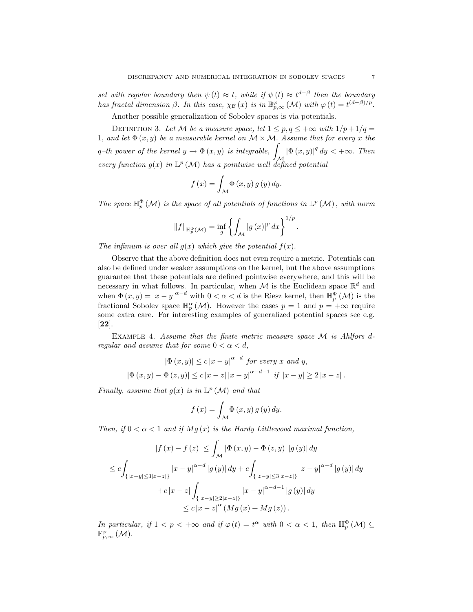set with regular boundary then  $\psi(t) \approx t$ , while if  $\psi(t) \approx t^{d-\beta}$  then the boundary has fractal dimension  $\beta$ . In this case,  $\chi_{\mathcal{B}}(x)$  is in  $\mathbb{B}_{p,\infty}^{\varphi}(\mathcal{M})$  with  $\varphi(t) = t^{(d-\beta)/p}$ .

Another possible generalization of Sobolev spaces is via potentials.

DEFINITION 3. Let M be a measure space, let  $1 \le p, q \le +\infty$  with  $1/p+1/q=$ 1, and let  $\Phi(x, y)$  be a measurable kernel on  $\mathcal{M} \times \mathcal{M}$ . Assume that for every x the q–th power of the kernel  $y \to \Phi(x, y)$  is integrable, M  $|\Phi(x, y)|^q dy < +\infty$ . Then every function  $g(x)$  in  $\mathbb{L}^p(\mathcal{M})$  has a pointwise well defined potential

$$
f(x) = \int_{\mathcal{M}} \Phi(x, y) g(y) dy.
$$

The space  $\mathbb{H}_p^{\Phi}(\mathcal{M})$  is the space of all potentials of functions in  $\mathbb{L}^p(\mathcal{M})$ , with norm

$$
||f||_{\mathbb{H}_p^{\Phi}(\mathcal{M})} = \inf_{g} \left\{ \int_{\mathcal{M}} |g(x)|^p dx \right\}^{1/p}.
$$

The infimum is over all  $g(x)$  which give the potential  $f(x)$ .

Observe that the above definition does not even require a metric. Potentials can also be defined under weaker assumptions on the kernel, but the above assumptions guarantee that these potentials are defined pointwise everywhere, and this will be necessary in what follows. In particular, when M is the Euclidean space  $\mathbb{R}^d$  and when  $\Phi(x, y) = |x - y|^{\alpha - d}$  with  $0 < \alpha < d$  is the Riesz kernel, then  $\mathbb{H}_p^{\Phi}(\mathcal{M})$  is the fractional Sobolev space  $\mathbb{H}_p^{\alpha}(\mathcal{M})$ . However the cases  $p=1$  and  $p=+\infty$  require some extra care. For interesting examples of generalized potential spaces see e.g. [22].

Example 4. Assume that the finite metric measure space M is Ahlfors dregular and assume that for some  $0 < \alpha < d$ ,

$$
|\Phi(x, y)| \le c |x - y|^{\alpha - d} \text{ for every } x \text{ and } y,
$$
  

$$
|\Phi(x, y) - \Phi(z, y)| \le c |x - z| |x - y|^{\alpha - d - 1} \text{ if } |x - y| \ge 2 |x - z|.
$$

Finally, assume that  $g(x)$  is in  $\mathbb{L}^p(\mathcal{M})$  and that

$$
f(x) = \int_{\mathcal{M}} \Phi(x, y) g(y) dy.
$$

Then, if  $0 < \alpha < 1$  and if  $Mg(x)$  is the Hardy Littlewood maximal function,

$$
|f(x) - f(z)| \leq \int_{\mathcal{M}} |\Phi(x, y) - \Phi(z, y)| |g(y)| dy
$$
  
\n
$$
\leq c \int_{\{|x - y| \leq 3|x - z|\}} |x - y|^{\alpha - d} |g(y)| dy + c \int_{\{|z - y| \leq 3|x - z|\}} |z - y|^{\alpha - d} |g(y)| dy
$$
  
\n
$$
+ c |x - z| \int_{\{|x - y| \geq 2|x - z|\}} |x - y|^{\alpha - d - 1} |g(y)| dy
$$
  
\n
$$
\leq c |x - z|^{\alpha} (Mg(x) + Mg(z)).
$$

In particular, if  $1 < p < +\infty$  and if  $\varphi(t) = t^{\alpha}$  with  $0 < \alpha < 1$ , then  $\mathbb{H}_p^{\Phi}(\mathcal{M}) \subseteq$  $\mathbb{F}_{p,\infty}^{\varphi}(\mathcal{M}).$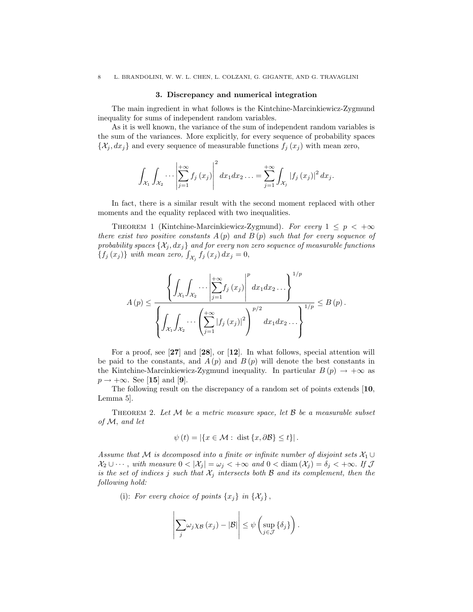#### 3. Discrepancy and numerical integration

The main ingredient in what follows is the Kintchine-Marcinkiewicz-Zygmund inequality for sums of independent random variables.

As it is well known, the variance of the sum of independent random variables is the sum of the variances. More explicitly, for every sequence of probability spaces  $\{\mathcal{X}_j, dx_j\}$  and every sequence of measurable functions  $f_j(x_j)$  with mean zero,

$$
\int_{\mathcal{X}_{1}}\int_{\mathcal{X}_{2}}\cdots \left|\sum_{j=1}^{+\infty} f_{j}\left(x_{j}\right)\right|^{2} dx_{1} dx_{2} \ldots = \sum_{j=1}^{+\infty} \int_{\mathcal{X}_{j}}\left|f_{j}\left(x_{j}\right)\right|^{2} dx_{j}.
$$

In fact, there is a similar result with the second moment replaced with other moments and the equality replaced with two inequalities.

THEOREM 1 (Kintchine-Marcinkiewicz-Zygmund). For every  $1 \leq p \leq +\infty$ there exist two positive constants  $A(p)$  and  $B(p)$  such that for every sequence of probability spaces  $\{\mathcal{X}_j, dx_j\}$  and for every non zero sequence of measurable functions  ${f_j(x_j)}$  with mean zero,  $\int_{\mathcal{X}_j} f_j(x_j) dx_j = 0$ ,

$$
A(p) \leq \frac{\left\{ \int_{\mathcal{X}_1} \int_{\mathcal{X}_2} \cdots \left| \sum_{j=1}^{+\infty} f_j(x_j) \right|^p dx_1 dx_2 \cdots \right\}^{1/p}}{\left\{ \int_{\mathcal{X}_1} \int_{\mathcal{X}_2} \cdots \left( \sum_{j=1}^{+\infty} |f_j(x_j)|^2 \right)^{p/2} dx_1 dx_2 \cdots \right\}^{1/p}} \leq B(p).
$$

For a proof, see [27] and [28], or [12]. In what follows, special attention will be paid to the constants, and  $A(p)$  and  $B(p)$  will denote the best constants in the Kintchine-Marcinkiewicz-Zygmund inequality. In particular  $B(p) \to +\infty$  as  $p \rightarrow +\infty$ . See [15] and [9].

The following result on the discrepancy of a random set of points extends [10, Lemma 5].

THEOREM 2. Let  $M$  be a metric measure space, let  $\beta$  be a measurable subset of M, and let

$$
\psi(t) = |\{x \in \mathcal{M} : \text{ dist}\{x, \partial \mathcal{B}\} \le t\}|.
$$

Assume that M is decomposed into a finite or infinite number of disjoint sets  $\mathcal{X}_1 \cup$  $\mathcal{X}_2 \cup \cdots$ , with measure  $0 < |\mathcal{X}_i| = \omega_i < +\infty$  and  $0 < \text{diam}(\mathcal{X}_i) = \delta_i < +\infty$ . If  $\mathcal J$ is the set of indices j such that  $\mathcal{X}_j$  intersects both  $\mathcal B$  and its complement, then the following hold:

(i): For every choice of points  $\{x_j\}$  in  $\{\mathcal{X}_j\}$ ,

$$
\left|\sum_{j} \omega_j \chi_{\mathcal{B}}(x_j) - |\mathcal{B}|\right| \leq \psi\left(\sup_{j\in\mathcal{J}} \left\{\delta_j\right\}\right).
$$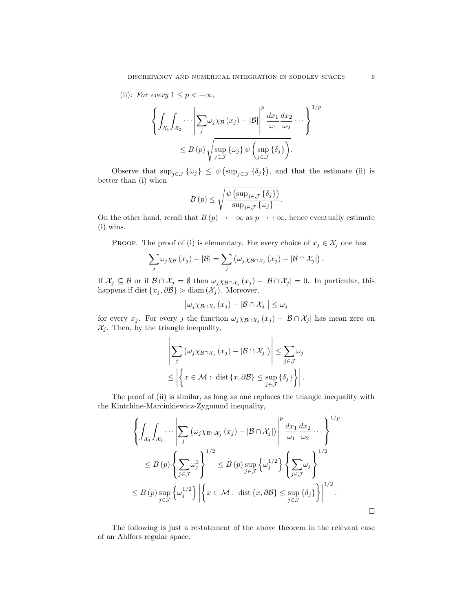(ii): For every  $1 \leq p < +\infty$ ,

$$
\left\{ \int_{\mathcal{X}_1} \int_{\mathcal{X}_2} \cdots \left| \sum_j \omega_j \chi_{\mathcal{B}} (x_j) - |\mathcal{B}| \right|^p \frac{dx_1}{\omega_1} \frac{dx_2}{\omega_2} \cdots \right\}^{1/p}
$$
  

$$
\leq B(p) \sqrt{\sup_{j \in \mathcal{J}} \{\omega_j\} \psi \left( \sup_{j \in \mathcal{J}} \{\delta_j\} \right)}.
$$

Observe that  $\sup_{j\in\mathcal{J}}\{\omega_j\} \leq \psi(\sup_{j\in\mathcal{J}}\{\delta_j\})$ , and that the estimate (ii) is better than (i) when

$$
B(p) \le \sqrt{\frac{\psi \left(\sup_{j \in \mathcal{J}} \{\delta_j\}\right)}{\sup_{j \in \mathcal{J}} \{\omega_j\}}}.
$$

On the other hand, recall that  $B(p) \to +\infty$  as  $p \to +\infty$ , hence eventually estimate (i) wins.

PROOF. The proof of (i) is elementary. For every choice of  $x_j \in \mathcal{X}_j$  one has

$$
\sum_{j} \omega_j \chi_{\mathcal{B}}(x_j) - |\mathcal{B}| = \sum_{j} (\omega_j \chi_{\mathcal{B} \cap \mathcal{X}_j}(x_j) - |\mathcal{B} \cap \mathcal{X}_j|).
$$

If  $\mathcal{X}_j \subseteq \mathcal{B}$  or if  $\mathcal{B} \cap \mathcal{X}_j = \emptyset$  then  $\omega_j \chi_{\mathcal{B} \cap \mathcal{X}_j}(x_j) - |\mathcal{B} \cap \mathcal{X}_j| = 0$ . In particular, this happens if dist  $\{x_j, \partial \mathcal{B}\} > \text{diam}(\mathcal{X}_j)$ . Moreover,

$$
\left|\omega_j\chi_{\mathcal{B}\cap\mathcal{X}_j}\left(x_j\right)-\left|\mathcal{B}\cap\mathcal{X}_j\right|\right|\leq\omega_j
$$

for every  $x_j$ . For every j the function  $\omega_j \chi_{\mathcal{B} \cap \mathcal{X}_j}(x_j) - |\mathcal{B} \cap \mathcal{X}_j|$  has mean zero on  $\mathcal{X}_j.$  Then, by the triangle inequality,

$$
\left| \sum_{j} \left( \omega_{j} \chi_{\mathcal{B} \cap \mathcal{X}_{j}} \left( x_{j} \right) - |\mathcal{B} \cap \mathcal{X}_{j}| \right) \right| \leq \sum_{j \in \mathcal{J}} \omega_{j} \leq \left| \left\{ x \in \mathcal{M} : \text{ dist} \left\{ x, \partial \mathcal{B} \right\} \leq \sup_{j \in \mathcal{J}} \left\{ \delta_{j} \right\} \right\} \right|.
$$

The proof of (ii) is similar, as long as one replaces the triangle inequality with the Kintchine-Marcinkiewicz-Zygmund inequality,

$$
\left\{ \int_{\mathcal{X}_1} \int_{\mathcal{X}_2} \cdots \left| \sum_j \left( \omega_j \chi_{\mathcal{B} \cap \mathcal{X}_j} \left( x_j \right) - |\mathcal{B} \cap \mathcal{X}_j| \right) \right|^p \frac{dx_1}{\omega_1} \frac{dx_2}{\omega_2} \cdots \right\}^{1/p}
$$
  
\n
$$
\leq B(p) \left\{ \sum_{j \in \mathcal{J}} \omega_j^2 \right\}^{1/2} \leq B(p) \sup_{j \in \mathcal{J}} \left\{ \omega_j^{1/2} \right\} \left\{ \sum_{j \in \mathcal{J}} \omega_j \right\}^{1/2}
$$
  
\n
$$
\leq B(p) \sup_{j \in \mathcal{J}} \left\{ \omega_j^{1/2} \right\} \left| \left\{ x \in \mathcal{M} : \text{ dist } \{x, \partial \mathcal{B}\} \leq \sup_{j \in \mathcal{J}} \left\{ \delta_j \right\} \right\} \right|^{1/2}.
$$

The following is just a restatement of the above theorem in the relevant case of an Ahlfors regular space.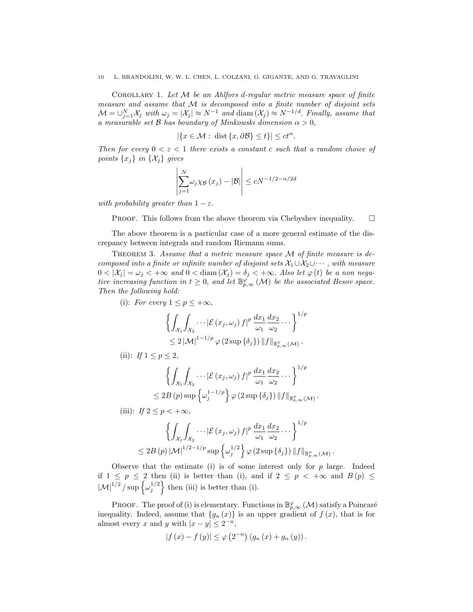COROLLARY 1. Let  $M$  be an Ahlfors d-regular metric measure space of finite measure and assume that  $M$  is decomposed into a finite number of disjoint sets  $\mathcal{M} = \bigcup_{j=1}^N \mathcal{X}_j$  with  $\omega_j = |\mathcal{X}_j| \approx N^{-1}$  and  $\text{diam}(\mathcal{X}_j) \approx N^{-1/d}$ . Finally, assume that a measurable set  $\mathcal B$  has boundary of Minkowski dimension  $\alpha > 0$ ,

$$
|\{x \in \mathcal{M} : \text{ dist } \{x, \partial \mathcal{B}\} \le t\}| \le ct^{\alpha}
$$

.

.

Then for every  $0 < \varepsilon < 1$  there exists a constant c such that a random choice of points  $\{x_j\}$  in  $\{\mathcal{X}_j\}$  gives

$$
\left|\sum_{j=1}^{N} \omega_j \chi_{\mathcal{B}}(x_j) - |\mathcal{B}| \right| \le cN^{-1/2 - \alpha/2d}
$$

with probability greater than  $1 - \varepsilon$ .

PROOF. This follows from the above theorem via Chebyshev inequality.  $\Box$ 

The above theorem is a particular case of a more general estimate of the discrepancy between integrals and random Riemann sums.

THEOREM 3. Assume that a metric measure space  $M$  of finite measure is decomposed into a finite or infinite number of disjoint sets  $\mathcal{X}_1 \cup \mathcal{X}_2 \cup \cdots$ , with measure  $0 < |\mathcal{X}_j| = \omega_j < +\infty$  and  $0 < \text{diam}(\mathcal{X}_j) = \delta_j < +\infty$ . Also let  $\varphi(t)$  be a non negative increasing function in  $t \geq 0$ , and let  $\mathbb{B}_{p,\infty}^{\varphi}(\mathcal{M})$  be the associated Besov space. Then the following hold:

(i): For every 
$$
1 \leq p \leq +\infty
$$
,

$$
\left\{ \int_{\mathcal{X}_1} \int_{\mathcal{X}_2} \cdots \left| \mathcal{E} \left( x_j, \omega_j \right) f \right|^p \frac{dx_1}{\omega_1} \frac{dx_2}{\omega_2} \cdots \right\}^{1/p} \n\leq 2 \left| \mathcal{M} \right|^{1-1/p} \varphi \left( 2 \sup \{ \delta_j \} \right) \left\| f \right\|_{\mathbb{B}^{\varphi}_{p,\infty}(\mathcal{M})}.
$$

(ii): If  $1 \le p \le 2$ ,

$$
\left\{ \int_{\mathcal{X}_1} \int_{\mathcal{X}_2} \cdots \left| \mathcal{E} \left( x_j, \omega_j \right) f \right|^p \frac{dx_1}{\omega_1} \frac{dx_2}{\omega_2} \cdots \right\}^{1/p}
$$
  

$$
\leq 2B(p) \sup \left\{ \omega_j^{1-1/p} \right\} \varphi \left( 2 \sup \left\{ \delta_j \right\} \right) \| f \|_{\mathbb{B}^{\varphi}_{p,\infty}(\mathcal{M})}
$$

(iii): If 
$$
2 \le p < +\infty
$$
,

$$
\left\{ \int_{\mathcal{X}_1} \int_{\mathcal{X}_2} \cdots \left| \mathcal{E} \left( x_j, \omega_j \right) f \right|^p \frac{dx_1}{\omega_1} \frac{dx_2}{\omega_2} \cdots \right\}^{1/p} \le 2B(p) \left| \mathcal{M} \right|^{1/2-1/p} \sup \left\{ \omega_j^{1/2} \right\} \varphi \left( 2 \sup \left\{ \delta_j \right\} \right) \left\| f \right\|_{\mathbb{B}^{\varphi}_{p,\infty}(\mathcal{M})}. \right\}
$$

Observe that the estimate (i) is of some interest only for  $p$  large. Indeed if  $1 \leq p \leq 2$  then (ii) is better than (i), and if  $2 \leq p \leq +\infty$  and  $B(p) \leq$  $|\mathcal{M}|^{1/2}$  / sup  $\left\{\omega_j^{1/2}\right\}$  then (iii) is better than (i).

PROOF. The proof of (i) is elementary. Functions in  $\mathbb{B}^{\varphi}_{p,\infty}(\mathcal{M})$  satisfy a Poincaré inequality. Indeed, assume that  $\{g_n(x)\}\$ is an upper gradient of  $f(x)$ , that is for almost every x and y with  $|x-y| \leq 2^{-n}$ ,

$$
|f(x) - f(y)| \le \varphi(2^{-n}) (g_n(x) + g_n(y)).
$$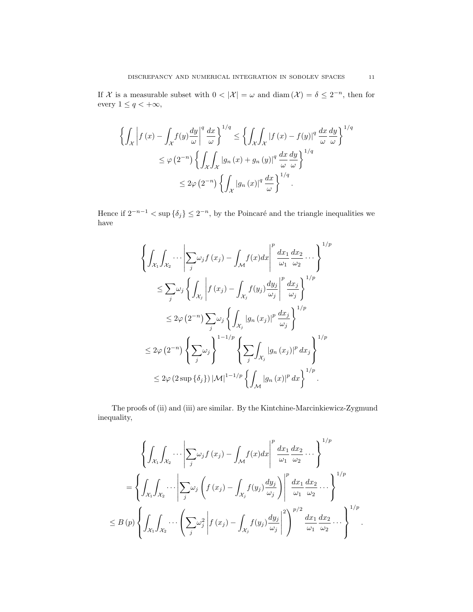If X is a measurable subset with  $0 < |\mathcal{X}| = \omega$  and  $\text{diam}(\mathcal{X}) = \delta \leq 2^{-n}$ , then for every  $1\leq q<+\infty,$ 

$$
\left\{ \int_{\mathcal{X}} \left| f(x) - \int_{\mathcal{X}} f(y) \frac{dy}{\omega} \right|^{q} \frac{dx}{\omega} \right\}^{1/q} \leq \left\{ \int_{\mathcal{X}} \int_{\mathcal{X}} |f(x) - f(y)|^{q} \frac{dx}{\omega} \frac{dy}{\omega} \right\}^{1/q}
$$
  

$$
\leq \varphi(2^{-n}) \left\{ \int_{\mathcal{X}} \int_{\mathcal{X}} |g_{n}(x) + g_{n}(y)|^{q} \frac{dx}{\omega} \frac{dy}{\omega} \right\}^{1/q}
$$
  

$$
\leq 2\varphi(2^{-n}) \left\{ \int_{\mathcal{X}} |g_{n}(x)|^{q} \frac{dx}{\omega} \right\}^{1/q}.
$$

Hence if  $2^{-n-1} < \sup \{\delta_j\} \leq 2^{-n}$ , by the Poincaré and the triangle inequalities we have

$$
\left\{\int_{\mathcal{X}_1}\int_{\mathcal{X}_2}\cdots\left|\sum_j \omega_j f(x_j) - \int_{\mathcal{M}} f(x)dx\right|^p \frac{dx_1}{\omega_1} \frac{dx_2}{\omega_2} \cdots\right\}^{1/p}
$$
\n
$$
\leq \sum_j \omega_j \left\{\int_{\mathcal{X}_j} \left|f(x_j) - \int_{\mathcal{X}_j} f(y_j) \frac{dy_j}{\omega_j}\right|^p \frac{dx_j}{\omega_j}\right\}^{1/p}
$$
\n
$$
\leq 2\varphi(2^{-n}) \sum_j \omega_j \left\{\int_{\mathcal{X}_j} |g_n(x_j)|^p \frac{dx_j}{\omega_j}\right\}^{1/p}
$$
\n
$$
\leq 2\varphi(2^{-n}) \left\{\sum_j \omega_j\right\}^{1-1/p} \left\{\sum_j \int_{\mathcal{X}_j} |g_n(x_j)|^p dx_j\right\}^{1/p}
$$
\n
$$
\leq 2\varphi(2 \sup\{\delta_j\}) |\mathcal{M}|^{1-1/p} \left\{\int_{\mathcal{M}} |g_n(x)|^p dx\right\}^{1/p}.
$$

The proofs of (ii) and (iii) are similar. By the Kintchine-Marcinkiewicz-Zygmund inequality,

$$
\left\{\int_{\mathcal{X}_1}\int_{\mathcal{X}_2}\cdots\left|\sum_j \omega_j f(x_j) - \int_{\mathcal{M}} f(x)dx\right|^p \frac{dx_1}{\omega_1} \frac{dx_2}{\omega_2} \cdots\right\}^{1/p}
$$
\n
$$
= \left\{\int_{\mathcal{X}_1}\int_{\mathcal{X}_2}\cdots\left|\sum_j \omega_j \left(f(x_j) - \int_{\mathcal{X}_j} f(y_j) \frac{dy_j}{\omega_j}\right)\right|^p \frac{dx_1}{\omega_1} \frac{dx_2}{\omega_2} \cdots\right\}^{1/p}
$$
\n
$$
\leq B(p) \left\{\int_{\mathcal{X}_1}\int_{\mathcal{X}_2}\cdots\left(\sum_j \omega_j^2 \left|f(x_j) - \int_{\mathcal{X}_j} f(y_j) \frac{dy_j}{\omega_j}\right|^2\right)^{p/2} \frac{dx_1}{\omega_1} \frac{dx_2}{\omega_2} \cdots\right\}^{1/p}.
$$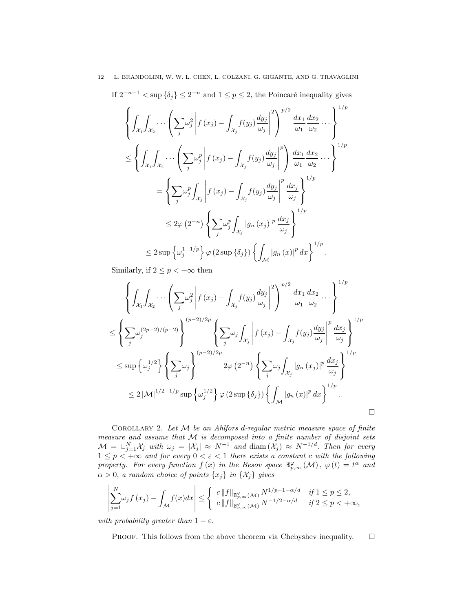If  $2^{-n-1} < \sup \{\delta_j\} \leq 2^{-n}$  and  $1 \leq p \leq 2$ , the Poincaré inequality gives

$$
\left\{\int_{\mathcal{X}_1}\int_{\mathcal{X}_2}\cdots\left(\sum_j \omega_j^2 \left|f(x_j) - \int_{\mathcal{X}_j}f(y_j)\frac{dy_j}{\omega_j}\right|^2\right)^{p/2}\frac{dx_1}{\omega_1}\frac{dx_2}{\omega_2}\cdots\right\}^{1/p}
$$
\n
$$
\leq \left\{\int_{\mathcal{X}_1}\int_{\mathcal{X}_2}\cdots\left(\sum_j \omega_j^p \left|f(x_j) - \int_{\mathcal{X}_j}f(y_j)\frac{dy_j}{\omega_j}\right|^p\right)\frac{dx_1}{\omega_1}\frac{dx_2}{\omega_2}\cdots\right\}^{1/p}
$$
\n
$$
= \left\{\sum_j \omega_j^p \int_{\mathcal{X}_j}\left|f(x_j) - \int_{\mathcal{X}_j}f(y_j)\frac{dy_j}{\omega_j}\right|^p\frac{dx_j}{\omega_j}\right\}^{1/p}
$$
\n
$$
\leq 2\varphi(2^{-n})\left\{\sum_j \omega_j^p \int_{\mathcal{X}_j}|g_n(x_j)|^p\frac{dx_j}{\omega_j}\right\}^{1/p}
$$
\n
$$
\leq 2\sup\left\{\omega_j^{1-1/p}\right\}\varphi(2\sup\{\delta_j\})\left\{\int_{\mathcal{M}}|g_n(x)|^p\,dx\right\}^{1/p}.
$$

Similarly, if  $2 \leq p < +\infty$  then

$$
\left\{\int_{\mathcal{X}_1}\int_{\mathcal{X}_2}\cdots\left(\sum_j \omega_j^2 \left|f(x_j) - \int_{\mathcal{X}_j} f(y_j) \frac{dy_j}{\omega_j}\right|^2\right)^{p/2} \frac{dx_1}{\omega_1} \frac{dx_2}{\omega_2} \cdots \right\}^{1/p}
$$
  

$$
\leq \left\{\sum_j \omega_j^{(2p-2)/(p-2)}\right\}^{(p-2)/2p} \left\{\sum_j \omega_j \int_{\mathcal{X}_j} \left|f(x_j) - \int_{\mathcal{X}_j} f(y_j) \frac{dy_j}{\omega_j}\right|^p \frac{dx_j}{\omega_j}\right\}^{1/p}
$$
  

$$
\leq \sup\left\{\omega_j^{1/2}\right\} \left\{\sum_j \omega_j\right\}^{(p-2)/2p} 2\varphi(2^{-n}) \left\{\sum_j \omega_j \int_{\mathcal{X}_j} |g_n(x_j)|^p \frac{dx_j}{\omega_j}\right\}^{1/p}
$$
  

$$
\leq 2 |\mathcal{M}|^{1/2 - 1/p} \sup\left\{\omega_j^{1/2}\right\} \varphi(2 \sup\{\delta_j\}) \left\{\int_{\mathcal{M}} |g_n(x)|^p dx\right\}^{1/p}.
$$

COROLLARY 2. Let  $M$  be an Ahlfors d-regular metric measure space of finite measure and assume that M is decomposed into a finite number of disjoint sets  $\mathcal{M} = \bigcup_{j=1}^N \mathcal{X}_j$  with  $\omega_j = |\mathcal{X}_j| \approx N^{-1}$  and  $\text{diam}(\mathcal{X}_j) \approx N^{-1/d}$ . Then for every  $1 \leq p < +\infty$  and for every  $0 < \varepsilon < 1$  there exists a constant c with the following property. For every function  $f(x)$  in the Besov space  $\mathbb{B}^{\varphi}_{p,\infty}(\mathcal{M})$ ,  $\varphi(t) = t^{\alpha}$  and  $\alpha > 0$ , a random choice of points  $\{x_j\}$  in  $\{\mathcal{X}_j\}$  gives

 $\Box$ 

$$
\left|\sum_{j=1}^N \omega_j f(x_j) - \int_{\mathcal{M}} f(x) dx\right| \leq \left\{\n\begin{array}{l}\n c \|f\|_{\mathbb{B}^\varphi_{p,\infty}(\mathcal{M})} N^{1/p-1-\alpha/d} & \text{if } 1 \leq p \leq 2, \\
 c \|f\|_{\mathbb{B}^\varphi_{p,\infty}(\mathcal{M})} N^{-1/2-\alpha/d} & \text{if } 2 \leq p < +\infty,\n\end{array}\n\right.
$$

with probability greater than  $1 - \varepsilon$ .

PROOF. This follows from the above theorem via Chebyshev inequality.  $\square$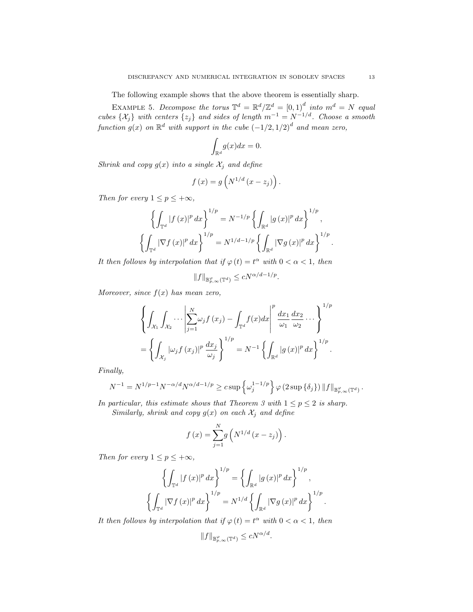The following example shows that the above theorem is essentially sharp.

EXAMPLE 5. Decompose the torus  $\mathbb{T}^d = \mathbb{R}^d / \mathbb{Z}^d = [0,1]^d$  into  $m^d = N$  equal cubes  $\{\mathcal{X}_j\}$  with centers  $\{z_j\}$  and sides of length  $m^{-1} = N^{-1/d}$ . Choose a smooth function  $g(x)$  on  $\mathbb{R}^d$  with support in the cube  $(-1/2, 1/2)^d$  and mean zero,

$$
\int_{\mathbb{R}^d} g(x)dx = 0.
$$

Shrink and copy  $g(x)$  into a single  $\mathcal{X}_j$  and define

$$
f(x) = g\left(N^{1/d}\left(x - z_j\right)\right).
$$

Then for every  $1 \le p \le +\infty$ ,

$$
\left\{\int_{\mathbb{T}^d} |f(x)|^p dx\right\}^{1/p} = N^{-1/p} \left\{\int_{\mathbb{R}^d} |g(x)|^p dx\right\}^{1/p},
$$

$$
\left\{\int_{\mathbb{T}^d} |\nabla f(x)|^p dx\right\}^{1/p} = N^{1/d-1/p} \left\{\int_{\mathbb{R}^d} |\nabla g(x)|^p dx\right\}^{1/p}.
$$

It then follows by interpolation that if  $\varphi(t) = t^{\alpha}$  with  $0 < \alpha < 1$ , then

$$
||f||_{\mathbb{B}_{p,\infty}^{\varphi}(\mathbb{T}^d)} \le cN^{\alpha/d - 1/p}.
$$

Moreover, since  $f(x)$  has mean zero,

$$
\left\{\int_{\mathcal{X}_1}\int_{\mathcal{X}_2}\cdots\left|\sum_{j=1}^N \omega_j f(x_j) - \int_{\mathbb{T}^d} f(x)dx\right|^p \frac{dx_1}{\omega_1} \frac{dx_2}{\omega_2} \cdots \right\}^{1/p} = \left\{\int_{\mathcal{X}_j} |\omega_j f(x_j)|^p \frac{dx_j}{\omega_j}\right\}^{1/p} = N^{-1} \left\{\int_{\mathbb{R}^d} |g(x)|^p dx\right\}^{1/p}.
$$

Finally,

$$
N^{-1} = N^{1/p-1} N^{-\alpha/d} N^{\alpha/d-1/p} \geq c \sup \left\{ \omega_j^{1-1/p} \right\} \varphi \left( 2 \sup \left\{ \delta_j \right\} \right) \|f\|_{\mathbb{B}^{\varphi}_{p,\infty}(\mathbb{T}^d)}.
$$

In particular, this estimate shows that Theorem 3 with  $1 \le p \le 2$  is sharp. Similarly, shrink and copy  $q(x)$  on each  $\mathcal{X}_i$  and define

$$
5imuary, snrink\ and\ copy\ g(x)\ on\ each\ \lambda_j\ and\ aepne
$$

$$
f(x) = \sum_{j=1}^{N} g\left(N^{1/d}\left(x - z_j\right)\right).
$$

Then for every  $1 \le p \le +\infty$ ,

$$
\left\{ \int_{\mathbb{T}^d} |f(x)|^p dx \right\}^{1/p} = \left\{ \int_{\mathbb{R}^d} |g(x)|^p dx \right\}^{1/p},
$$
  

$$
\left\{ \int_{\mathbb{T}^d} |\nabla f(x)|^p dx \right\}^{1/p} = N^{1/d} \left\{ \int_{\mathbb{R}^d} |\nabla g(x)|^p dx \right\}^{1/p}.
$$

It then follows by interpolation that if  $\varphi(t) = t^{\alpha}$  with  $0 < \alpha < 1$ , then

$$
||f||_{\mathbb{B}_{p,\infty}^{\varphi}(\mathbb{T}^d)} \le cN^{\alpha/d}.
$$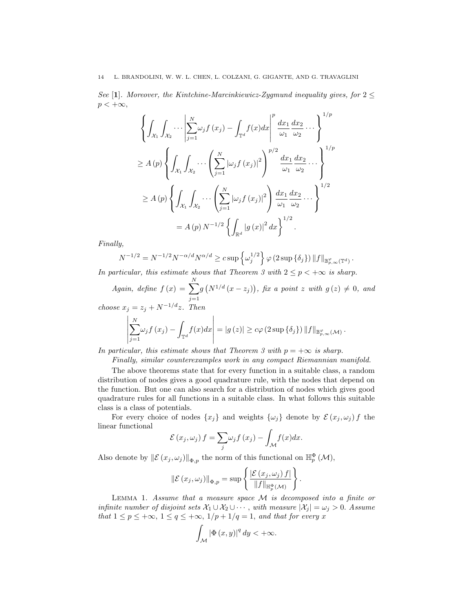See [1]. Moreover, the Kintchine-Marcinkiewicz-Zygmund inequality gives, for  $2 \leq$  $p < +\infty$ ,

$$
\left\{ \int_{\mathcal{X}_1} \int_{\mathcal{X}_2} \cdots \left| \sum_{j=1}^N \omega_j f(x_j) - \int_{\mathbb{T}^d} f(x) dx \right|^p \frac{dx_1}{\omega_1} \frac{dx_2}{\omega_2} \cdots \right\}^{1/p}
$$
  
\n
$$
\geq A(p) \left\{ \int_{\mathcal{X}_1} \int_{\mathcal{X}_2} \cdots \left( \sum_{j=1}^N |\omega_j f(x_j)|^2 \right)^{p/2} \frac{dx_1}{\omega_1} \frac{dx_2}{\omega_2} \cdots \right\}^{1/p}
$$
  
\n
$$
\geq A(p) \left\{ \int_{\mathcal{X}_1} \int_{\mathcal{X}_2} \cdots \left( \sum_{j=1}^N |\omega_j f(x_j)|^2 \right) \frac{dx_1}{\omega_1} \frac{dx_2}{\omega_2} \cdots \right\}^{1/2}
$$
  
\n
$$
= A(p) N^{-1/2} \left\{ \int_{\mathbb{R}^d} |g(x)|^2 dx \right\}^{1/2}.
$$

Finally,

$$
N^{-1/2} = N^{-1/2} N^{-\alpha/d} N^{\alpha/d} \geq c \sup \left\{ \omega_j^{1/2} \right\} \varphi \left( 2 \sup \left\{ \delta_j \right\} \right) \| f \|_{\mathbb{B}^{\varphi}_{p,\infty}(\mathbb{T}^d)}.
$$

In particular, this estimate shows that Theorem 3 with  $2 \le p < +\infty$  is sharp.

Again, define  $f(x) = \sum_{n=1}^{N}$  $j=1$  $g(N^{1/d}(x-z_j))$ , fix a point z with  $g(z) \neq 0$ , and choose  $x_j = z_j + N^{-1/d}z$ . Then

$$
\left|\sum_{j=1}^N \omega_j f(x_j) - \int_{\mathbb{T}^d} f(x) dx\right| = |g(z)| \geq c\varphi(2 \sup \{\delta_j\}) \|f\|_{\mathbb{B}_{p,\infty}^{\varphi}(\mathcal{M})}
$$

In particular, this estimate shows that Theorem 3 with  $p = +\infty$  is sharp.

Finally, similar counterexamples work in any compact Riemannian manifold.

.

The above theorems state that for every function in a suitable class, a random distribution of nodes gives a good quadrature rule, with the nodes that depend on the function. But one can also search for a distribution of nodes which gives good quadrature rules for all functions in a suitable class. In what follows this suitable class is a class of potentials.

For every choice of nodes  $\{x_j\}$  and weights  $\{\omega_j\}$  denote by  $\mathcal{E}(x_j, \omega_j) f$  the linear functional

$$
\mathcal{E}(x_j,\omega_j) f = \sum_j \omega_j f(x_j) - \int_{\mathcal{M}} f(x) dx.
$$

Also denote by  $\|\mathcal{E}(x_j,\omega_j)\|_{\Phi,p}$  the norm of this functional on  $\mathbb{H}_p^{\Phi}(\mathcal{M}),$ 

$$
\|\mathcal{E}(x_j,\omega_j)\|_{\Phi,p} = \sup \left\{ \frac{|\mathcal{E}(x_j,\omega_j) f|}{\|f\|_{\mathbb{H}_p^{\Phi}(\mathcal{M})}} \right\}.
$$

LEMMA 1. Assume that a measure space  $M$  is decomposed into a finite or infinite number of disjoint sets  $\mathcal{X}_1 \cup \mathcal{X}_2 \cup \cdots$ , with measure  $|\mathcal{X}_i| = \omega_i > 0$ . Assume that  $1 \le p \le +\infty$ ,  $1 \le q \le +\infty$ ,  $1/p + 1/q = 1$ , and that for every x

$$
\int_{\mathcal{M}} |\Phi(x, y)|^q dy < +\infty.
$$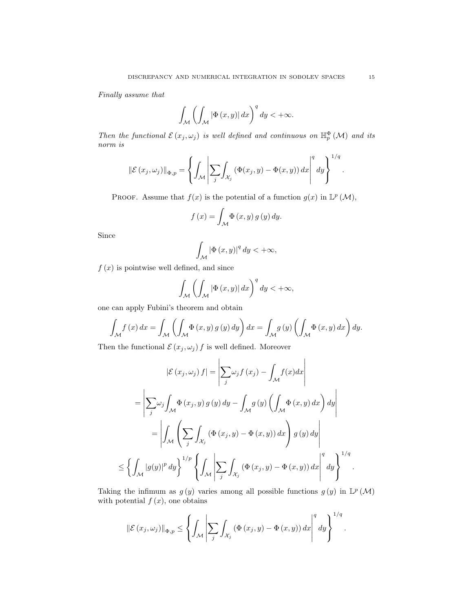Finally assume that

$$
\int_{\mathcal{M}} \left( \int_{\mathcal{M}} |\Phi(x, y)| dx \right)^{q} dy < +\infty.
$$

Then the functional  $\mathcal{E}(x_j,\omega_j)$  is well defined and continuous on  $\mathbb{H}_p^{\Phi}(\mathcal{M})$  and its norm is

$$
\|\mathcal{E}(x_j,\omega_j)\|_{\Phi,p} = \left\{ \int_{\mathcal{M}} \left| \sum_j \int_{\mathcal{X}_j} \left( \Phi(x_j,y) - \Phi(x,y) \right) dx \right|^q dy \right\}^{1/q}.
$$

PROOF. Assume that  $f(x)$  is the potential of a function  $g(x)$  in  $\mathbb{L}^p(\mathcal{M})$ ,

$$
f(x) = \int_{\mathcal{M}} \Phi(x, y) g(y) dy.
$$

Since

$$
\int_{\mathcal{M}}\left|\Phi\left(x,y\right)\right|^{q}dy < +\infty,
$$

 $f(x)$  is pointwise well defined, and since

$$
\int_{\mathcal{M}} \left( \int_{\mathcal{M}} |\Phi(x, y)| dx \right)^{q} dy < +\infty,
$$

one can apply Fubini's theorem and obtain

$$
\int_{\mathcal{M}} f(x) dx = \int_{\mathcal{M}} \left( \int_{\mathcal{M}} \Phi(x, y) g(y) dy \right) dx = \int_{\mathcal{M}} g(y) \left( \int_{\mathcal{M}} \Phi(x, y) dx \right) dy.
$$

Then the functional  $\mathcal{E}(x_j, \omega_j) f$  is well defined. Moreover

$$
\left| \mathcal{E} \left( x_j, \omega_j \right) f \right| = \left| \sum_j \omega_j f \left( x_j \right) - \int_{\mathcal{M}} f(x) dx \right|
$$
  
\n
$$
= \left| \sum_j \omega_j \int_{\mathcal{M}} \Phi \left( x_j, y \right) g \left( y \right) dy - \int_{\mathcal{M}} g \left( y \right) \left( \int_{\mathcal{M}} \Phi \left( x, y \right) dx \right) dy \right|
$$
  
\n
$$
= \left| \int_{\mathcal{M}} \left( \sum_j \int_{\mathcal{X}_j} \left( \Phi \left( x_j, y \right) - \Phi \left( x, y \right) \right) dx \right) g \left( y \right) dy \right|
$$
  
\n
$$
\leq \left\{ \int_{\mathcal{M}} \left| g(y) \right|^p dy \right\}^{1/p} \left\{ \int_{\mathcal{M}} \left| \sum_j \int_{\mathcal{X}_j} \left( \Phi \left( x_j, y \right) - \Phi \left( x, y \right) \right) dx \right|^q dy \right\}^{1/q}.
$$

Taking the infimum as  $g(y)$  varies among all possible functions  $g(y)$  in  $\mathbb{L}^p(\mathcal{M})$ with potential  $f(x)$ , one obtains

$$
\left\|\mathcal{E}\left(x_j,\omega_j\right)\right\|_{\Phi,p} \leq \left\{\left.\int_{\mathcal{M}}\left|\sum_j\int_{\mathcal{X}_j}\left(\Phi\left(x_j,y\right)-\Phi\left(x,y\right)\right)dx\right|^q dy\right\}^{1/q}.
$$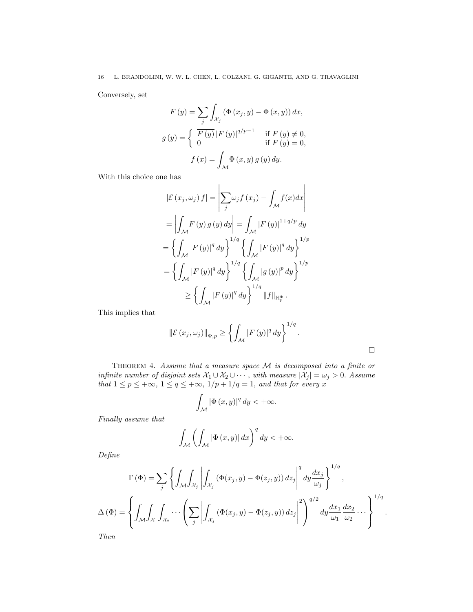Conversely, set

$$
F(y) = \sum_{j} \int_{\mathcal{X}_j} (\Phi(x_j, y) - \Phi(x, y)) dx,
$$
  

$$
g(y) = \begin{cases} \overline{F(y)} |F(y)|^{q/p - 1} & \text{if } F(y) \neq 0, \\ 0 & \text{if } F(y) = 0, \end{cases}
$$
  

$$
f(x) = \int_{\mathcal{M}} \Phi(x, y) g(y) dy.
$$

With this choice one has

$$
\begin{aligned}\n|\mathcal{E}\left(x_{j}, \omega_{j}\right) f| &= \left| \sum_{j} \omega_{j} f\left(x_{j}\right) - \int_{\mathcal{M}} f(x) dx \right| \\
&= \left| \int_{\mathcal{M}} F\left(y\right) g\left(y\right) dy \right| = \int_{\mathcal{M}} \left| F\left(y\right) \right|^{1+q/p} dy \\
&= \left\{ \int_{\mathcal{M}} \left| F\left(y\right) \right|^{q} dy \right\}^{1/q} \left\{ \int_{\mathcal{M}} \left| F\left(y\right) \right|^{q} dy \right\}^{1/p} \\
&= \left\{ \int_{\mathcal{M}} \left| F\left(y\right) \right|^{q} dy \right\}^{1/q} \left\{ \int_{\mathcal{M}} \left| g\left(y\right) \right|^{p} dy \right\}^{1/p} \\
&\geq \left\{ \int_{\mathcal{M}} \left| F\left(y\right) \right|^{q} dy \right\}^{1/q} \|f\|_{\mathbb{H}_{p}^{\Phi}}.\n\end{aligned}
$$

This implies that

$$
\left\| \mathcal{E} \left( x_j, \omega_j \right) \right\|_{\Phi, p} \ge \left\{ \int_{\mathcal{M}} \left| F \left( y \right) \right|^q dy \right\}^{1/q}.
$$

THEOREM 4. Assume that a measure space  $M$  is decomposed into a finite or infinite number of disjoint sets  $\mathcal{X}_1 \cup \mathcal{X}_2 \cup \cdots$ , with measure  $|\mathcal{X}_j| = \omega_j > 0$ . Assume that  $1 \leq p \leq +\infty$ ,  $1 \leq q \leq +\infty$ ,  $1/p + 1/q = 1$ , and that for every x

$$
\int_{\mathcal{M}} |\Phi(x, y)|^q dy < +\infty.
$$

Finally assume that

$$
\int_{\mathcal{M}} \left( \int_{\mathcal{M}} |\Phi(x, y)| dx \right)^{q} dy < +\infty.
$$

Define

$$
\Gamma(\Phi) = \sum_{j} \left\{ \int_{\mathcal{M}} \int_{\mathcal{X}_{j}} \left| \int_{\mathcal{X}_{j}} (\Phi(x_{j}, y) - \Phi(z_{j}, y)) dz_{j} \right|^{q} dy \frac{dx_{j}}{\omega_{j}} \right\}^{1/q},
$$

$$
\Delta(\Phi) = \left\{ \int_{\mathcal{M}} \int_{\mathcal{X}_{1}} \int_{\mathcal{X}_{2}} \cdots \left( \sum_{j} \left| \int_{\mathcal{X}_{j}} (\Phi(x_{j}, y) - \Phi(z_{j}, y)) dz_{j} \right|^{2} \right)^{q/2} dy \frac{dx_{1}}{\omega_{1}} \frac{dx_{2}}{\omega_{2}} \cdots \right\}^{1/q}.
$$
Then

Then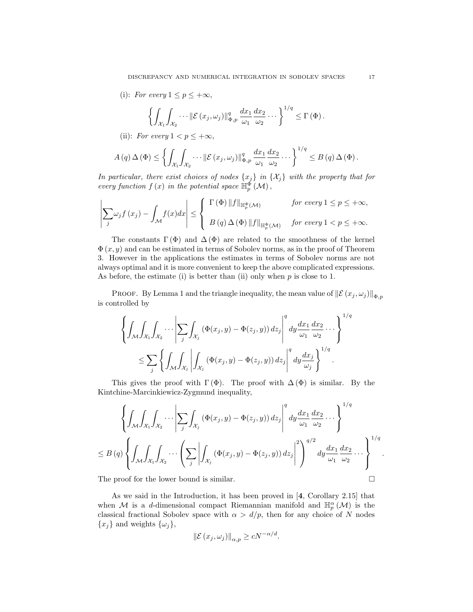(i): For every  $1 \leq p \leq +\infty$ ,

$$
\left\{\int_{\mathcal{X}_1}\int_{\mathcal{X}_2}\cdots\|\mathcal{E}(x_j,\omega_j)\|_{\Phi,p}^q\,\frac{dx_1}{\omega_1}\frac{dx_2}{\omega_2}\cdots\right\}^{1/q}\leq\Gamma\left(\Phi\right).
$$

(ii): For every  $1 < p \leq +\infty$ ,

$$
A(q)\,\Delta(\Phi) \leq \left\{ \int_{\mathcal{X}_1} \int_{\mathcal{X}_2} \cdots \|\mathcal{E}(x_j,\omega_j)\|_{\Phi,p}^q \, \frac{dx_1}{\omega_1} \frac{dx_2}{\omega_2} \cdots \right\}^{1/q} \leq B(q)\,\Delta(\Phi).
$$

In particular, there exist choices of nodes  $\{x_j\}$  in  $\{\mathcal{X}_j\}$  with the property that for every function  $f(x)$  in the potential space  $\mathbb{H}_{p}^{\Phi}(\mathcal{M}),$ 

$$
\left|\sum_{j} \omega_{j} f(x_{j}) - \int_{\mathcal{M}} f(x) dx\right| \leq \begin{cases} \Gamma(\Phi) \|f\|_{\mathbb{H}_{p}^{\Phi}(\mathcal{M})} & \text{for every } 1 \leq p \leq +\infty, \\ B(q) \Delta(\Phi) \|f\|_{\mathbb{H}_{p}^{\Phi}(\mathcal{M})} & \text{for every } 1 < p \leq +\infty. \end{cases}
$$

The constants  $\Gamma(\Phi)$  and  $\Delta(\Phi)$  are related to the smoothness of the kernel  $\Phi(x, y)$  and can be estimated in terms of Sobolev norms, as in the proof of Theorem 3. However in the applications the estimates in terms of Sobolev norms are not always optimal and it is more convenient to keep the above complicated expressions. As before, the estimate (i) is better than (ii) only when  $p$  is close to 1.

PROOF. By Lemma 1 and the triangle inequality, the mean value of  $\left\|\mathcal{E}\left(x_j , \omega_j\right)\right\|_{\Phi, p}$ is controlled by

$$
\left\{\int_{\mathcal{M}}\int_{\mathcal{X}_1}\int_{\mathcal{X}_2}\cdots\left|\sum_{j}\int_{\mathcal{X}_j}\left(\Phi(x_j,y)-\Phi(z_j,y)\right)dz_j\right|^q dy\frac{dx_1}{\omega_1}\frac{dx_2}{\omega_2}\cdots\right\}^{1/q}
$$
  

$$
\leq \sum_{j}\left\{\int_{\mathcal{M}}\int_{\mathcal{X}_j}\left|\int_{\mathcal{X}_j}\left(\Phi(x_j,y)-\Phi(z_j,y)\right)dz_j\right|^q dy\frac{dx_j}{\omega_j}\right\}^{1/q}.
$$

This gives the proof with  $\Gamma(\Phi)$ . The proof with  $\Delta(\Phi)$  is similar. By the Kintchine-Marcinkiewicz-Zygmund inequality,

$$
\left\{ \int_{\mathcal{M}} \int_{\mathcal{X}_1} \int_{\mathcal{X}_2} \cdots \left| \sum_{j} \int_{\mathcal{X}_j} \left( \Phi(x_j, y) - \Phi(z_j, y) \right) dz_j \right|^q dy \frac{dx_1}{\omega_1} \frac{dx_2}{\omega_2} \cdots \right\}^{1/q}
$$
  

$$
\leq B(q) \left\{ \int_{\mathcal{M}} \int_{\mathcal{X}_1} \int_{\mathcal{X}_2} \cdots \left( \sum_{j} \left| \int_{\mathcal{X}_j} \left( \Phi(x_j, y) - \Phi(z_j, y) \right) dz_j \right|^2 \right)^{q/2} dy \frac{dx_1}{\omega_1} \frac{dx_2}{\omega_2} \cdots \right\}^{1/q}
$$

The proof for the lower bound is similar.  $\square$ 

As we said in the Introduction, it has been proved in [4, Corollary 2.15] that when M is a d-dimensional compact Riemannian manifold and  $\mathbb{H}_p^{\alpha}(\mathcal{M})$  is the classical fractional Sobolev space with  $\alpha > d/p$ , then for any choice of N nodes  ${x_j}$  and weights  ${\{\omega_j\}},$ 

$$
\left\|\mathcal{E}\left(x_j,\omega_j\right)\right\|_{\alpha,p} \ge cN^{-\alpha/d}.
$$

.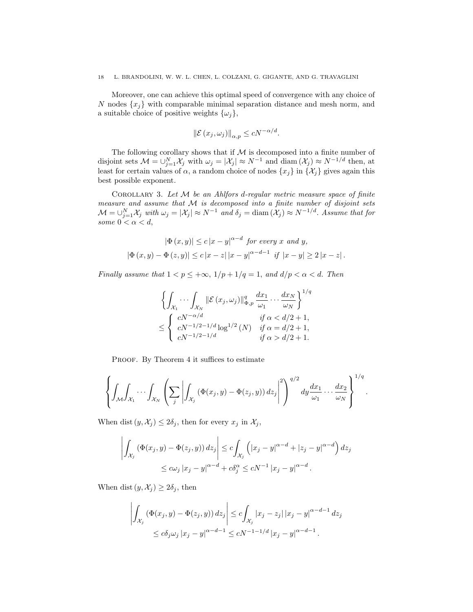Moreover, one can achieve this optimal speed of convergence with any choice of N nodes  $\{x_i\}$  with comparable minimal separation distance and mesh norm, and a suitable choice of positive weights  $\{\omega_j\},\$ 

$$
\left\|\mathcal{E}\left(x_j,\omega_j\right)\right\|_{\alpha,p} \le cN^{-\alpha/d}.
$$

The following corollary shows that if  $M$  is decomposed into a finite number of disjoint sets  $\mathcal{M} = \bigcup_{j=1}^N \mathcal{X}_j$  with  $\omega_j = |\mathcal{X}_j| \approx N^{-1}$  and  $\text{diam}(\mathcal{X}_j) \approx N^{-1/d}$  then, at least for certain values of  $\alpha$ , a random choice of nodes  $\{x_j\}$  in  $\{\mathcal{X}_j\}$  gives again this best possible exponent.

COROLLARY 3. Let  $M$  be an Ahlfors d-regular metric measure space of finite measure and assume that  $M$  is decomposed into a finite number of disjoint sets  $\mathcal{M} = \bigcup_{j=1}^N \mathcal{X}_j$  with  $\omega_j = |\mathcal{X}_j| \approx N^{-1}$  and  $\delta_j = \text{diam}(\mathcal{X}_j) \approx N^{-1/d}$ . Assume that for some  $0 < \alpha < d$ ,

$$
|\Phi(x, y)| \le c |x - y|^{\alpha - d} \text{ for every } x \text{ and } y,
$$
  

$$
|\Phi(x, y) - \Phi(z, y)| \le c |x - z| |x - y|^{\alpha - d - 1} \text{ if } |x - y| \ge 2 |x - z|.
$$

Finally assume that  $1 < p \leq +\infty$ ,  $1/p + 1/q = 1$ , and  $d/p < \alpha < d$ . Then

$$
\left\{ \int_{\mathcal{X}_1} \cdots \int_{\mathcal{X}_N} \|\mathcal{E}(x_j, \omega_j)\|_{\Phi, p}^q \frac{dx_1}{\omega_1} \cdots \frac{dx_N}{\omega_N} \right\}^{1/q}
$$
  

$$
\leq \begin{cases} cN^{-\alpha/d} & \text{if } \alpha < d/2 + 1, \\ cN^{-1/2 - 1/d} \log^{1/2}(N) & \text{if } \alpha = d/2 + 1, \\ cN^{-1/2 - 1/d} & \text{if } \alpha > d/2 + 1. \end{cases}
$$

PROOF. By Theorem 4 it suffices to estimate

$$
\left\{\int_{\mathcal{M}}\int_{\mathcal{X}_1}\cdots\int_{\mathcal{X}_N}\left(\sum_j\left|\int_{\mathcal{X}_j}\left(\Phi(x_j,y)-\Phi(z_j,y)\right)dz_j\right|^2\right)^{q/2}dy\frac{dx_1}{\omega_1}\cdots\frac{dx_2}{\omega_N}\right\}^{1/q}.
$$

When dist  $(y, \mathcal{X}_j) \leq 2\delta_j$ , then for every  $x_j$  in  $\mathcal{X}_j$ ,

$$
\left| \int_{\mathcal{X}_j} \left( \Phi(x_j, y) - \Phi(z_j, y) \right) dz_j \right| \le c \int_{\mathcal{X}_j} \left( |x_j - y|^{\alpha - d} + |z_j - y|^{\alpha - d} \right) dz_j
$$
  

$$
\le c \omega_j \left| x_j - y \right|^{\alpha - d} + c \delta_j^{\alpha} \le c N^{-1} \left| x_j - y \right|^{\alpha - d}.
$$

When dist  $(y, \mathcal{X}_i) \geq 2\delta_i$ , then

$$
\left| \int_{\mathcal{X}_j} \left( \Phi(x_j, y) - \Phi(z_j, y) \right) dz_j \right| \le c \int_{\mathcal{X}_j} |x_j - z_j| |x_j - y|^{\alpha - d - 1} dz_j
$$
  

$$
\le c \delta_j \omega_j |x_j - y|^{\alpha - d - 1} \le c N^{-1 - 1/d} |x_j - y|^{\alpha - d - 1}.
$$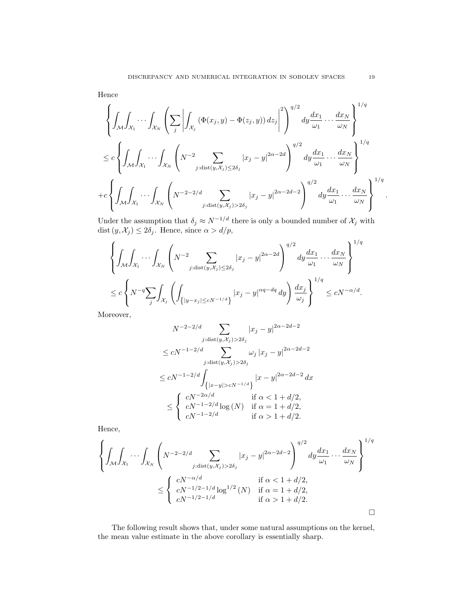Hence

$$
\left\{\int_{\mathcal{M}}\int_{\mathcal{X}_1}\cdots\int_{\mathcal{X}_N}\left(\sum_j\left|\int_{\mathcal{X}_j}\left(\Phi(x_j,y)-\Phi(z_j,y)\right)dz_j\right|^2\right)^{q/2}dy\frac{dx_1}{\omega_1}\cdots\frac{dx_N}{\omega_N}\right\}^{1/q}
$$
  

$$
\leq c\left\{\int_{\mathcal{M}}\int_{\mathcal{X}_1}\cdots\int_{\mathcal{X}_N}\left(N^{-2}\sum_{j:\text{dist}(y,\mathcal{X}_j)\leq 2\delta_j}|x_j-y|^{2\alpha-2d}\right)^{q/2}dy\frac{dx_1}{\omega_1}\cdots\frac{dx_N}{\omega_N}\right\}^{1/q}
$$
  
+
$$
+c\left\{\int_{\mathcal{M}}\int_{\mathcal{X}_1}\cdots\int_{\mathcal{X}_N}\left(N^{-2-2/d}\sum_{j:\text{dist}(y,\mathcal{X}_j)>2\delta_j}|x_j-y|^{2\alpha-2d-2}\right)^{q/2}dy\frac{dx_1}{\omega_1}\cdots\frac{dx_N}{\omega_N}\right\}^{1/q}
$$

Under the assumption that  $\delta_j \approx N^{-1/d}$  there is only a bounded number of  $\mathcal{X}_j$  with dist  $(y, \mathcal{X}_j) \leq 2\delta_j$ . Hence, since  $\alpha > d/p$ ,

$$
\left\{\int_{\mathcal{M}}\int_{\mathcal{X}_1}\cdots\int_{\mathcal{X}_N}\left(N^{-2}\sum_{j:\text{dist}(y,\mathcal{X}_j)\leq 2\delta_j}|x_j-y|^{2\alpha-2d}\right)^{q/2}dy\frac{dx_1}{\omega_1}\cdots\frac{dx_N}{\omega_N}\right\}^{1/q}
$$
  

$$
\leq c\left\{N^{-q}\sum_{j}\int_{\mathcal{X}_j}\left(\int_{\{|y-x_j|\leq cN^{-1/d}\}}|x_j-y|^{\alpha q-dq}\,dy\right)\frac{dx_j}{\omega_j}\right\}^{1/q} \leq cN^{-\alpha/d}.
$$

Moreover,

$$
N^{-2-2/d} \sum_{j:\text{dist}(y,\mathcal{X}_j) > 2\delta_j} |x_j - y|^{2\alpha - 2d - 2}
$$
\n
$$
\le cN^{-1-2/d} \sum_{j:\text{dist}(y,\mathcal{X}_j) > 2\delta_j} \omega_j |x_j - y|^{2\alpha - 2d - 2}
$$
\n
$$
\le cN^{-1-2/d} \int_{\{|x - y| > cN^{-1/d}\}} |x - y|^{2\alpha - 2d - 2} dx
$$
\n
$$
\le \begin{cases} cN^{-2\alpha/d} & \text{if } \alpha < 1 + d/2, \\ cN^{-1-2/d} \log(N) & \text{if } \alpha = 1 + d/2, \\ cN^{-1-2/d} & \text{if } \alpha > 1 + d/2. \end{cases}
$$

Hence,

$$
\left\{ \int_{\mathcal{M}} \int_{\mathcal{X}_1} \cdots \int_{\mathcal{X}_N} \left( N^{-2-2/d} \sum_{j:\text{dist}(y,\mathcal{X}_j) > 2\delta_j} |x_j - y|^{2\alpha - 2d - 2} \right)^{q/2} dy \frac{dx_1}{\omega_1} \cdots \frac{dx_N}{\omega_N} \right\}^{1/q}
$$
\n
$$
\leq \left\{ \begin{array}{ll} cN^{-\alpha/d} & \text{if } \alpha < 1 + d/2, \\ cN^{-1/2 - 1/d} \log^{1/2}(N) & \text{if } \alpha = 1 + d/2, \\ cN^{-1/2 - 1/d} & \text{if } \alpha > 1 + d/2. \end{array} \right\}
$$

The following result shows that, under some natural assumptions on the kernel, the mean value estimate in the above corollary is essentially sharp.

.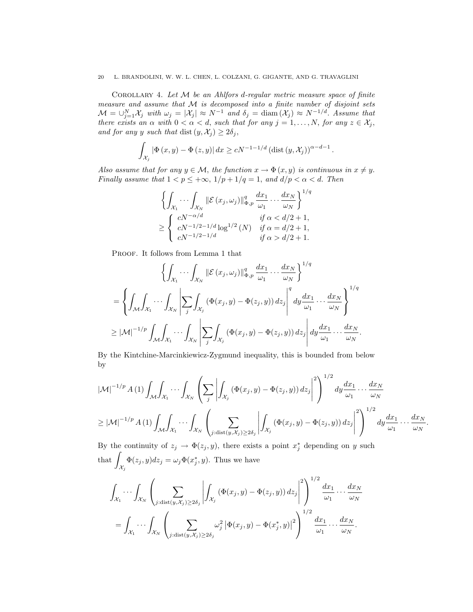COROLLARY 4. Let  $M$  be an Ahlfors d-regular metric measure space of finite measure and assume that  $M$  is decomposed into a finite number of disjoint sets  $\mathcal{M} = \bigcup_{j=1}^N \mathcal{X}_j$  with  $\omega_j = |\mathcal{X}_j| \approx N^{-1}$  and  $\delta_j = \text{diam}(\mathcal{X}_j) \approx N^{-1/d}$ . Assume that there exists an  $\alpha$  with  $0 < \alpha < d$ , such that for any  $j = 1, ..., N$ , for any  $z \in \mathcal{X}_j$ , and for any y such that dist  $(y, \mathcal{X}_j) \geq 2\delta_j$ ,

$$
\int_{\mathcal{X}_j} |\Phi(x, y) - \Phi(z, y)| dx \ge cN^{-1-1/d} \left(\text{dist}\left(y, \mathcal{X}_j\right)\right)^{\alpha - d - 1}.
$$

Also assume that for any  $y \in \mathcal{M}$ , the function  $x \to \Phi(x, y)$  is continuous in  $x \neq y$ . Finally assume that  $1 < p \leq +\infty$ ,  $1/p + 1/q = 1$ , and  $d/p < \alpha < d$ . Then

$$
\left\{ \int_{\mathcal{X}_1} \cdots \int_{\mathcal{X}_N} \|\mathcal{E}(x_j, \omega_j)\|_{\Phi, p}^q \frac{dx_1}{\omega_1} \cdots \frac{dx_N}{\omega_N} \right\}^{1/q}
$$
  
\n
$$
\geq \begin{cases} cN^{-\alpha/d} & \text{if } \alpha < d/2 + 1, \\ cN^{-1/2 - 1/d} \log^{1/2}(N) & \text{if } \alpha = d/2 + 1, \\ cN^{-1/2 - 1/d} & \text{if } \alpha > d/2 + 1. \end{cases}
$$

PROOF. It follows from Lemma 1 that

$$
\left\{ \int_{\mathcal{X}_1} \cdots \int_{\mathcal{X}_N} \|\mathcal{E}(x_j, \omega_j)\|_{\Phi, p}^q \frac{dx_1}{\omega_1} \cdots \frac{dx_N}{\omega_N} \right\}^{1/q}
$$
  
= 
$$
\left\{ \int_{\mathcal{M}} \int_{\mathcal{X}_1} \cdots \int_{\mathcal{X}_N} \left| \sum_j \int_{\mathcal{X}_j} (\Phi(x_j, y) - \Phi(z_j, y)) dz_j \right|^q dy \frac{dx_1}{\omega_1} \cdots \frac{dx_N}{\omega_N} \right\}^{1/q}
$$
  

$$
\geq |\mathcal{M}|^{-1/p} \int_{\mathcal{M}} \int_{\mathcal{X}_1} \cdots \int_{\mathcal{X}_N} \left| \sum_j \int_{\mathcal{X}_j} (\Phi(x_j, y) - \Phi(z_j, y)) dz_j \right| dy \frac{dx_1}{\omega_1} \cdots \frac{dx_N}{\omega_N}.
$$

By the Kintchine-Marcinkiewicz-Zygmund inequality, this is bounded from below by

$$
|\mathcal{M}|^{-1/p} A(1) \int_{\mathcal{M}} \int_{\mathcal{X}_1} \cdots \int_{\mathcal{X}_N} \left( \sum_j \left| \int_{\mathcal{X}_j} (\Phi(x_j, y) - \Phi(z_j, y)) dz_j \right|^2 \right)^{1/2} dy \frac{dx_1}{\omega_1} \cdots \frac{dx_N}{\omega_N}
$$
  
\n
$$
\geq |\mathcal{M}|^{-1/p} A(1) \int_{\mathcal{M}} \int_{\mathcal{X}_1} \cdots \int_{\mathcal{X}_N} \left( \sum_{j:\text{dist}(y, \mathcal{X}_j) \geq 2\delta_j} \left| \int_{\mathcal{X}_j} (\Phi(x_j, y) - \Phi(z_j, y)) dz_j \right|^2 \right)^{1/2} dy \frac{dx_1}{\omega_1} \cdots \frac{dx_N}{\omega_N}.
$$

By the continuity of  $z_j \to \Phi(z_j, y)$ , there exists a point  $x_j^*$  depending on y such  $that$  $\mathcal{X}_j$  $\Phi(z_j, y) dz_j = \omega_j \Phi(x_j^*, y)$ . Thus we have

$$
\int_{\mathcal{X}_1} \cdots \int_{\mathcal{X}_N} \left( \sum_{j:\text{dist}(y,\mathcal{X}_j) \ge 2\delta_j} \left| \int_{\mathcal{X}_j} \left( \Phi(x_j, y) - \Phi(z_j, y) \right) dz_j \right|^2 \right)^{1/2} \frac{dx_1}{\omega_1} \cdots \frac{dx_N}{\omega_N}
$$
\n
$$
= \int_{\mathcal{X}_1} \cdots \int_{\mathcal{X}_N} \left( \sum_{j:\text{dist}(y,\mathcal{X}_j) \ge 2\delta_j} \omega_j^2 \left| \Phi(x_j, y) - \Phi(x_j^*, y) \right|^2 \right)^{1/2} \frac{dx_1}{\omega_1} \cdots \frac{dx_N}{\omega_N}.
$$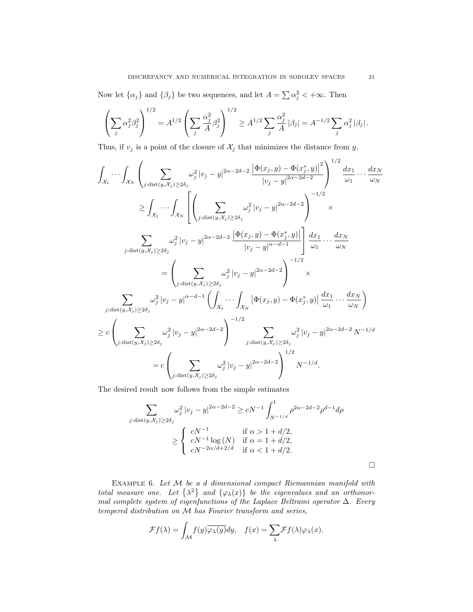#### DISCREPANCY AND NUMERICAL INTEGRATION IN SOBOLEV SPACES 21

Now let  $\{\alpha_j\}$  and  $\{\beta_j\}$  be two sequences, and let  $A = \sum \alpha_j^2 < +\infty$ . Then

$$
\left(\sum_j \alpha_j^2 \beta_j^2\right)^{1/2} = A^{1/2} \left(\sum_j \frac{\alpha_j^2}{A} \beta_j^2\right)^{1/2} \ge A^{1/2} \sum_j \frac{\alpha_j^2}{A} |\beta_j| = A^{-1/2} \sum_j \alpha_j^2 |\beta_j|.
$$

Thus, if  $v_j$  is a point of the closure of  $\mathcal{X}_j$  that minimizes the distance from  $y$ ,

$$
\int_{\mathcal{X}_1} \cdots \int_{\mathcal{X}_N} \left( \sum_{j:\text{dist}(y,\mathcal{X}_j) \ge 2\delta_j} \omega_j^2 |v_j - y|^{2\alpha - 2d - 2} \frac{|\Phi(x_j,y) - \Phi(x_j^*,y)|^2}{|v_j - y|^{2\alpha - 2d - 2}} \right)^{1/2} \frac{dx_1}{\omega_1} \cdots \frac{dx_N}{\omega_N}
$$
\n
$$
\geq \int_{\mathcal{X}_1} \cdots \int_{\mathcal{X}_N} \left[ \left( \sum_{j:\text{dist}(y,\mathcal{X}_j) \ge 2\delta_j} \omega_j^2 |v_j - y|^{2\alpha - 2d - 2} \right)^{-1/2} \times \int_{j:\text{dist}(y,\mathcal{X}_j) \ge 2\delta_j} \omega_j^2 |v_j - y|^{2\alpha - 2d - 2} \frac{|\Phi(x_j,y) - \Phi(x_j^*,y)|}{|v_j - y|^{\alpha - d - 1}} \right] \frac{dx_1}{\omega_1} \cdots \frac{dx_N}{\omega_N}
$$
\n
$$
= \left( \sum_{j:\text{dist}(y,\mathcal{X}_j) \ge 2\delta_j} \omega_j^2 |v_j - y|^{\alpha - d - 1} \left( \int_{\mathcal{X}_1} \cdots \int_{\mathcal{X}_N} |\Phi(x_j,y) - \Phi(x_j^*,y)| \frac{dx_1}{\omega_1} \cdots \frac{dx_N}{\omega_N} \right)
$$
\n
$$
\geq c \left( \sum_{j:\text{dist}(y,\mathcal{X}_j) \ge 2\delta_j} \omega_j^2 |v_j - y|^{2\alpha - 2d - 2} \right)^{-1/2} \sum_{j:\text{dist}(y,\mathcal{X}_j) \ge 2\delta_j} \omega_j^2 |v_j - y|^{2\alpha - 2d - 2} N^{-1/d}
$$
\n
$$
= c \left( \sum_{j:\text{dist}(y,\mathcal{X}_j) \ge 2\delta_j} \omega_j^2 |v_j - y|^{2\alpha - 2d - 2} \right)^{1/2} N^{-1/d}.
$$

The desired result now follows from the simple estimates

$$
\sum_{j:\text{dist}(y,\mathcal{X}_j) \ge 2\delta_j} \omega_j^2 |v_j - y|^{2\alpha - 2d - 2} \ge cN^{-1} \int_{N^{-1/d}}^1 \rho^{2\alpha - 2d - 2} \rho^{d-1} d\rho
$$
\n
$$
\ge \begin{cases} cN^{-1} & \text{if } \alpha > 1 + d/2, \\ cN^{-1} \log(N) & \text{if } \alpha = 1 + d/2, \\ cN^{-2\alpha/d + 2/d} & \text{if } \alpha < 1 + d/2. \end{cases}
$$

EXAMPLE 6. Let  $M$  be a d dimensional compact Riemannian manifold with total measure one. Let  $\{\lambda^2\}$  and  $\{\varphi_\lambda(x)\}$  be the eigenvalues and an orthonormal complete system of eigenfunctions of the Laplace Beltrami operator  $\Delta$ . Every tempered distribution on M has Fourier transform and series,

$$
\mathcal{F}f(\lambda) = \int_{\mathcal{M}} f(y) \overline{\varphi_{\lambda}(y)} dy, \quad f(x) = \sum_{\lambda} \mathcal{F}f(\lambda) \varphi_{\lambda}(x).
$$

 $\Box$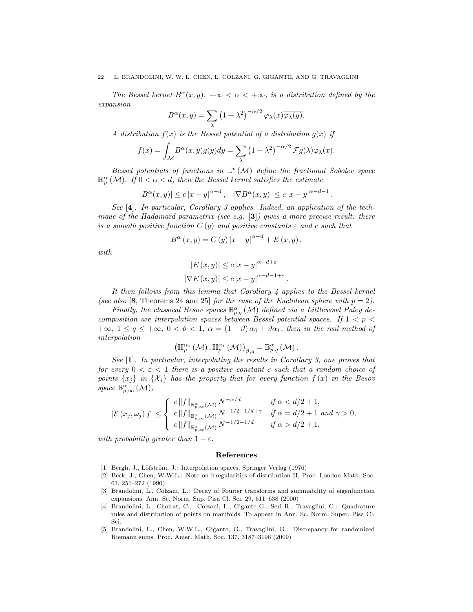The Bessel kernel  $B^{\alpha}(x, y)$ ,  $-\infty < \alpha < +\infty$ , is a distribution defined by the expansion

$$
B^{\alpha}(x,y) = \sum_{\lambda} (1 + \lambda^2)^{-\alpha/2} \varphi_{\lambda}(x) \overline{\varphi_{\lambda}(y)}.
$$

A distribution  $f(x)$  is the Bessel potential of a distribution  $g(x)$  if

$$
f(x) = \int_{\mathcal{M}} B^{\alpha}(x, y) g(y) dy = \sum_{\lambda} (1 + \lambda^2)^{-\alpha/2} \mathcal{F}g(\lambda) \varphi_{\lambda}(x).
$$

Bessel potentials of functions in  $\mathbb{L}^p(\mathcal{M})$  define the fractional Sobolev space  $\mathbb{H}_{p}^{\alpha}(\mathcal{M})$ . If  $0 < \alpha < d$ , then the Bessel kernel satisfies the estimate

$$
|B^{\alpha}(x,y)| \le c |x-y|^{\alpha-d}, \quad |\nabla B^{\alpha}(x,y)| \le c |x-y|^{\alpha-d-1}
$$

.

See [4]. In particular, Corollary 3 applies. Indeed, an application of the technique of the Hadamard parametrix (see e.g.  $[3]$ ) gives a more precise result: there is a smooth positive function  $C(y)$  and positive constants  $\varepsilon$  and c such that

$$
B^{\alpha}(x, y) = C(y) |x - y|^{\alpha - d} + E(x, y),
$$

with

$$
|E(x, y)| \le c |x - y|^{\alpha - d + \varepsilon}
$$
  

$$
|\nabla E(x, y)| \le c |x - y|^{\alpha - d - 1 + \varepsilon}.
$$

It then follows from this lemma that Corollary 4 applies to the Bessel kernel (see also [8, Theorems 24 and 25] for the case of the Euclidean sphere with  $p = 2$ ).

Finally, the classical Besov spaces  $\mathbb{B}_{p,q}^{\alpha}(\mathcal{M})$  defined via a Littlewood Paley decomposition are interpolation spaces between Bessel potential spaces. If  $1 < p <$  $+\infty$ ,  $1 \le q \le +\infty$ ,  $0 < \vartheta < 1$ ,  $\alpha = (1 - \vartheta) \alpha_0 + \vartheta \alpha_1$ , then in the real method of interpolation

$$
\left(\mathbb{H}_{p}^{\alpha_{0}}\left(\mathcal{M}\right),\mathbb{H}_{p}^{\alpha_{1}}\left(\mathcal{M}\right)\right)_{\vartheta,q}=\mathbb{B}_{p,q}^{\alpha}\left(\mathcal{M}\right).
$$

See [1]. In particular, interpolating the results in Corollary 3, one proves that for every  $0 < \varepsilon < 1$  there is a positive constant c such that a random choice of points  $\{x_i\}$  in  $\{\mathcal{X}_i\}$  has the property that for every function  $f(x)$  in the Besov space  $\mathbb{B}_{p,\infty}^{\alpha}(\mathcal{M}),$ 

$$
|\mathcal{E}(x_j,\omega_j)f| \leq \begin{cases} c\|f\|_{\mathbb{B}^\alpha_{p,\infty}(\mathcal{M})} N^{-\alpha/d} & \text{if } \alpha < d/2+1, \\ c\|f\|_{\mathbb{B}^\alpha_{p,\infty}(\mathcal{M})} N^{-1/2-1/d+\gamma} & \text{if } \alpha = d/2+1 \text{ and } \gamma > 0, \\ c\|f\|_{\mathbb{B}^\alpha_{p,\infty}(\mathcal{M})} N^{-1/2-1/d} & \text{if } \alpha > d/2+1, \end{cases}
$$

with probability greater than  $1 - \varepsilon$ .

#### References

- [1] Bergh, J., Löfström, J.: Interpolation spaces. Springer Verlag (1976)
- [2] Beck, J., Chen, W.W.L.: Note on irregularities of distribution II, Proc. London Math. Soc. 61, 251–272 (1990)
- [3] Brandolini, L., Colzani, L.: Decay of Fourier transforms and summability of eigenfunction expansions. Ann. Sc. Norm. Sup. Pisa Cl. Sci. 29, 611–638 (2000)
- [4] Brandolini, L., Choirat, C., Colzani, L., Gigante G., Seri R., Travaglini, G.: Quadrature rules and distribution of points on manifolds. To appear in Ann. Sc. Norm. Super. Pisa Cl. Sci.
- [5] Brandolini, L., Chen, W.W.L., Gigante, G., Travaglini, G.: Discrepancy for randomized Riemann sums. Proc. Amer. Math. Soc. 137, 3187–3196 (2009)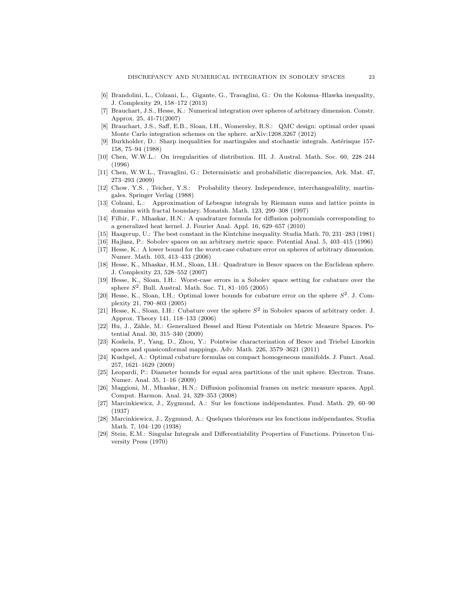- [6] Brandolini, L., Colzani, L., Gigante, G., Travaglini, G.: On the Koksma–Hlawka inequality, J. Complexity 29, 158–172 (2013)
- [7] Brauchart, J.S., Hesse, K.: Numerical integration over spheres of arbitrary dimension. Constr. Approx. 25, 41-71(2007)
- [8] Brauchart, J.S., Saff, E.B., Sloan, I.H., Womersley, R.S.: QMC design: optimal order quasi Monte Carlo integration schemes on the sphere. arXiv:1208.3267 (2012)
- [9] Burkholder, D.: Sharp inequalities for martingales and stochastic integrals. Astérisque 157-158, 75–94 (1988)
- [10] Chen, W.W.L.: On irregularities of distribution. III. J. Austral. Math. Soc. 60, 228–244 (1996)
- [11] Chen, W.W.L., Travaglini, G.: Deterministic and probabilistic discrepancies, Ark. Mat. 47, 273–293 (2009)
- [12] Chow, Y.S. , Teicher, Y.S.: Probability theory. Independence, interchangeability, martingales. Springer Verlag (1988)
- [13] Colzani, L.: Approximation of Lebesgue integrals by Riemann sums and lattice points in domains with fractal boundary. Monatsh. Math. 123, 299–308 (1997)
- [14] Filbir, F., Mhaskar, H.N.: A quadrature formula for diffusion polynomials corresponding to a generalized heat kernel. J. Fourier Anal. Appl. 16, 629–657 (2010)
- [15] Haagerup, U.: The best constant in the Kintchine inequality. Studia Math. 70, 231–283 (1981)
- [16] Hajłasz, P.: Sobolev spaces on an arbitrary metric space. Potential Anal. 5, 403–415 (1996)
- [17] Hesse, K.: A lower bound for the worst-case cubature error on spheres of arbitrary dimension. Numer. Math. 103, 413–433 (2006)
- [18] Hesse, K., Mhaskar, H.M., Sloan, I.H.: Quadrature in Besov spaces on the Euclidean sphere. J. Complexity 23, 528–552 (2007)
- [19] Hesse, K., Sloan, I.H.: Worst-case errors in a Sobolev space setting for cubature over the sphere  $S^2$ . Bull. Austral. Math. Soc. 71, 81-105 (2005)
- [20] Hesse, K., Sloan, I.H.: Optimal lower bounds for cubature error on the sphere  $S^2$ . J. Complexity 21, 790–803 (2005)
- [21] Hesse, K., Sloan, I.H.: Cubature over the sphere  $S<sup>2</sup>$  in Sobolev spaces of arbitrary order. J. Approx. Theory 141, 118–133 (2006)
- [22] Hu, J., Zähle, M.: Generalized Bessel and Riesz Potentials on Metric Measure Spaces. Potential Anal. 30, 315–340 (2009)
- [23] Koskela, P., Yang, D., Zhou, Y.: Pointwise characterization of Besov and Triebel Lizorkin spaces and quasiconformal mappings. Adv. Math. 226, 3579–3621 (2011)
- [24] Kushpel, A.: Optimal cubature formulas on compact homogeneous manifolds. J. Funct. Anal. 257, 1621–1629 (2009)
- [25] Leopardi, P.: Diameter bounds for equal area partitions of the unit sphere. Electron. Trans. Numer. Anal. 35, 1–16 (2009)
- [26] Maggioni, M., Mhaskar, H.N.: Diffusion polinomial frames on metric measure spaces. Appl. Comput. Harmon. Anal. 24, 329–353 (2008)
- [27] Marcinkiewicz, J., Zygmund, A.: Sur les fonctions ind´ependantes. Fund. Math. 29, 60–90 (1937)
- [28] Marcinkiewicz, J., Zygmund, A.: Quelques théorèmes sur les fonctions indépendantes. Studia Math. 7, 104–120 (1938)
- [29] Stein, E.M.: Singular Integrals and Differentiability Properties of Functions. Princeton University Press (1970)